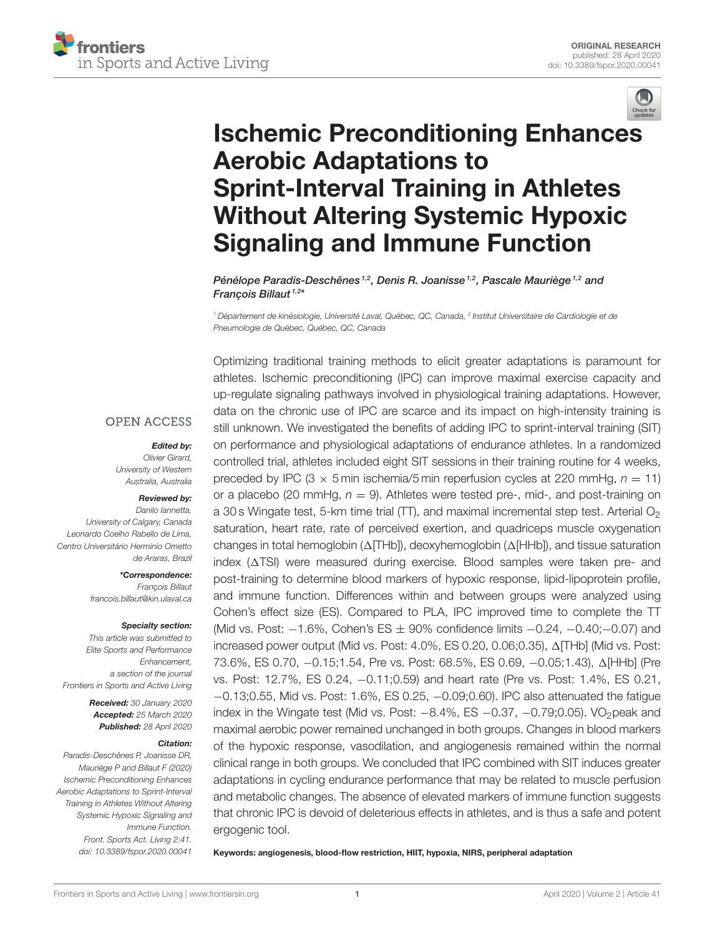



# [Ischemic Preconditioning Enhances](https://www.frontiersin.org/articles/10.3389/fspor.2020.00041/full) Aerobic Adaptations to Sprint-Interval Training in Athletes Without Altering Systemic Hypoxic Signaling and Immune Function

[Pénélope Paradis-Deschênes](http://loop.frontiersin.org/people/381006/overview) <sup>1,2</sup>, [Denis R. Joanisse](http://loop.frontiersin.org/people/400885/overview) <sup>1,2</sup>, Pascale Mauriège <sup>1,2</sup> and [François Billaut](http://loop.frontiersin.org/people/44276/overview) 1,2 \*

<sup>1</sup> Département de kinésiologie, Université Laval, Québec, QC, Canada, <sup>2</sup> Institut Universitaire de Cardiologie et de Pneumologie de Québec, Québec, QC, Canada

### **OPEN ACCESS**

#### Edited by:

Olivier Girard, University of Western Australia, Australia

## Reviewed by:

Danilo Iannetta, University of Calgary, Canada Leonardo Coelho Rabello de Lima, Centro Universitário Herminio Ometto de Araras, Brazil

\*Correspondence:

François Billaut [francois.billaut@kin.ulaval.ca](mailto:francois.billaut@kin.ulaval.ca)

#### Specialty section:

This article was submitted to Elite Sports and Performance Enhancement, a section of the journal Frontiers in Sports and Active Living

> Received: 30 January 2020 Accepted: 25 March 2020 Published: 28 April 2020

#### Citation:

Paradis-Deschênes P, Joanisse DR, Mauriège P and Billaut F (2020) Ischemic Preconditioning Enhances Aerobic Adaptations to Sprint-Interval Training in Athletes Without Altering Systemic Hypoxic Signaling and Immune Function. Front. Sports Act. Living 2:41. doi: [10.3389/fspor.2020.00041](https://doi.org/10.3389/fspor.2020.00041) Optimizing traditional training methods to elicit greater adaptations is paramount for athletes. Ischemic preconditioning (IPC) can improve maximal exercise capacity and up-regulate signaling pathways involved in physiological training adaptations. However, data on the chronic use of IPC are scarce and its impact on high-intensity training is still unknown. We investigated the benefits of adding IPC to sprint-interval training (SIT) on performance and physiological adaptations of endurance athletes. In a randomized controlled trial, athletes included eight SIT sessions in their training routine for 4 weeks, preceded by IPC (3  $\times$  5 min ischemia/5 min reperfusion cycles at 220 mmHg,  $n = 11$ ) or a placebo (20 mmHg,  $n = 9$ ). Athletes were tested pre-, mid-, and post-training on a 30 s Wingate test, 5-km time trial ( $TT$ ), and maximal incremental step test. Arterial  $O<sub>2</sub>$ saturation, heart rate, rate of perceived exertion, and quadriceps muscle oxygenation changes in total hemoglobin ( $\Delta$ [THb]), deoxyhemoglobin ( $\Delta$ [HHb]), and tissue saturation index  $(\Delta TSI)$  were measured during exercise. Blood samples were taken pre- and post-training to determine blood markers of hypoxic response, lipid-lipoprotein profile, and immune function. Differences within and between groups were analyzed using Cohen's effect size (ES). Compared to PLA, IPC improved time to complete the TT (Mid vs. Post: −1.6%, Cohen's ES ± 90% confidence limits −0.24, −0.40;−0.07) and increased power output (Mid vs. Post:  $4.0\%$ , ES 0.20, 0.06;0.35),  $\Delta$ [THb] (Mid vs. Post: 73.6%, ES 0.70, −0.15;1.54, Pre vs. Post: 68.5%, ES 0.69, −0.05;1.43), 1[HHb] (Pre vs. Post: 12.7%, ES 0.24, −0.11;0.59) and heart rate (Pre vs. Post: 1.4%, ES 0.21, −0.13;0.55, Mid vs. Post: 1.6%, ES 0.25, −0.09;0.60). IPC also attenuated the fatigue index in the Wingate test (Mid vs. Post: -8.4%, ES -0.37, -0.79;0.05). VO<sub>2</sub>peak and maximal aerobic power remained unchanged in both groups. Changes in blood markers of the hypoxic response, vasodilation, and angiogenesis remained within the normal clinical range in both groups. We concluded that IPC combined with SIT induces greater adaptations in cycling endurance performance that may be related to muscle perfusion and metabolic changes. The absence of elevated markers of immune function suggests that chronic IPC is devoid of deleterious effects in athletes, and is thus a safe and potent ergogenic tool.

Keywords: angiogenesis, blood-flow restriction, HIIT, hypoxia, NIRS, peripheral adaptation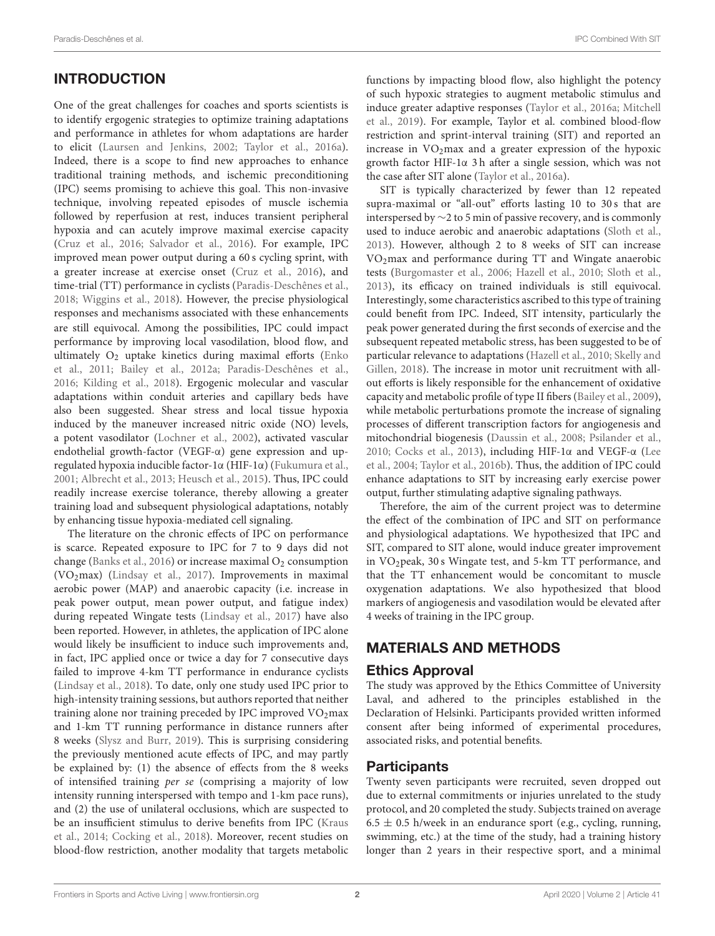# INTRODUCTION

One of the great challenges for coaches and sports scientists is to identify ergogenic strategies to optimize training adaptations and performance in athletes for whom adaptations are harder to elicit [\(Laursen and Jenkins, 2002;](#page-14-0) [Taylor et al., 2016a\)](#page-14-1). Indeed, there is a scope to find new approaches to enhance traditional training methods, and ischemic preconditioning (IPC) seems promising to achieve this goal. This non-invasive technique, involving repeated episodes of muscle ischemia followed by reperfusion at rest, induces transient peripheral hypoxia and can acutely improve maximal exercise capacity [\(Cruz et al., 2016;](#page-13-0) [Salvador et al., 2016\)](#page-14-2). For example, IPC improved mean power output during a 60 s cycling sprint, with a greater increase at exercise onset [\(Cruz et al., 2016\)](#page-13-0), and time-trial (TT) performance in cyclists [\(Paradis-Deschênes et al.,](#page-14-3) [2018;](#page-14-3) [Wiggins et al., 2018\)](#page-15-0). However, the precise physiological responses and mechanisms associated with these enhancements are still equivocal. Among the possibilities, IPC could impact performance by improving local vasodilation, blood flow, and ultimately  $O_2$  uptake kinetics during maximal efforts (Enko et al., [2011;](#page-13-1) [Bailey et al., 2012a;](#page-13-2) [Paradis-Deschênes et al.,](#page-14-4) [2016;](#page-14-4) [Kilding et al., 2018\)](#page-14-5). Ergogenic molecular and vascular adaptations within conduit arteries and capillary beds have also been suggested. Shear stress and local tissue hypoxia induced by the maneuver increased nitric oxide (NO) levels, a potent vasodilator [\(Lochner et al., 2002\)](#page-14-6), activated vascular endothelial growth-factor (VEGF-α) gene expression and upregulated hypoxia inducible factor-1α (HIF-1α) [\(Fukumura et al.,](#page-13-3) [2001;](#page-13-3) [Albrecht et al., 2013;](#page-13-4) [Heusch et al., 2015\)](#page-14-7). Thus, IPC could readily increase exercise tolerance, thereby allowing a greater training load and subsequent physiological adaptations, notably by enhancing tissue hypoxia-mediated cell signaling.

The literature on the chronic effects of IPC on performance is scarce. Repeated exposure to IPC for 7 to 9 days did not change [\(Banks et al., 2016\)](#page-13-5) or increase maximal  $O_2$  consumption (VO<sub>2</sub>max) [\(Lindsay et al., 2017\)](#page-14-8). Improvements in maximal aerobic power (MAP) and anaerobic capacity (i.e. increase in peak power output, mean power output, and fatigue index) during repeated Wingate tests [\(Lindsay et al., 2017\)](#page-14-8) have also been reported. However, in athletes, the application of IPC alone would likely be insufficient to induce such improvements and, in fact, IPC applied once or twice a day for 7 consecutive days failed to improve 4-km TT performance in endurance cyclists [\(Lindsay et al., 2018\)](#page-14-9). To date, only one study used IPC prior to high-intensity training sessions, but authors reported that neither training alone nor training preceded by IPC improved VO<sub>2</sub>max and 1-km TT running performance in distance runners after 8 weeks [\(Slysz and Burr, 2019\)](#page-14-10). This is surprising considering the previously mentioned acute effects of IPC, and may partly be explained by: (1) the absence of effects from the 8 weeks of intensified training per se (comprising a majority of low intensity running interspersed with tempo and 1-km pace runs), and (2) the use of unilateral occlusions, which are suspected to be an insufficient stimulus to derive benefits from IPC (Kraus et al., [2014;](#page-14-11) [Cocking et al., 2018\)](#page-13-6). Moreover, recent studies on blood-flow restriction, another modality that targets metabolic functions by impacting blood flow, also highlight the potency of such hypoxic strategies to augment metabolic stimulus and induce greater adaptive responses [\(Taylor et al., 2016a;](#page-14-1) Mitchell et al., [2019\)](#page-14-12). For example, Taylor et al. combined blood-flow restriction and sprint-interval training (SIT) and reported an increase in  $VO<sub>2</sub>$  max and a greater expression of the hypoxic growth factor HIF-1α 3 h after a single session, which was not the case after SIT alone [\(Taylor et al., 2016a\)](#page-14-1).

SIT is typically characterized by fewer than 12 repeated supra-maximal or "all-out" efforts lasting 10 to 30 s that are interspersed by ∼2 to 5 min of passive recovery, and is commonly used to induce aerobic and anaerobic adaptations [\(Sloth et al.,](#page-14-13) [2013\)](#page-14-13). However, although 2 to 8 weeks of SIT can increase VO2max and performance during TT and Wingate anaerobic tests [\(Burgomaster et al., 2006;](#page-13-7) [Hazell et al., 2010;](#page-13-8) [Sloth et al.,](#page-14-13) [2013\)](#page-14-13), its efficacy on trained individuals is still equivocal. Interestingly, some characteristics ascribed to this type of training could benefit from IPC. Indeed, SIT intensity, particularly the peak power generated during the first seconds of exercise and the subsequent repeated metabolic stress, has been suggested to be of particular relevance to adaptations [\(Hazell et al., 2010;](#page-13-8) Skelly and Gillen, [2018\)](#page-14-14). The increase in motor unit recruitment with allout efforts is likely responsible for the enhancement of oxidative capacity and metabolic profile of type II fibers [\(Bailey et al., 2009\)](#page-13-9), while metabolic perturbations promote the increase of signaling processes of different transcription factors for angiogenesis and mitochondrial biogenesis [\(Daussin et al., 2008;](#page-13-10) [Psilander et al.,](#page-14-15) [2010;](#page-14-15) [Cocks et al., 2013\)](#page-13-11), including HIF-1α and VEGF-α (Lee et al., [2004;](#page-14-16) [Taylor et al., 2016b\)](#page-14-17). Thus, the addition of IPC could enhance adaptations to SIT by increasing early exercise power output, further stimulating adaptive signaling pathways.

Therefore, the aim of the current project was to determine the effect of the combination of IPC and SIT on performance and physiological adaptations. We hypothesized that IPC and SIT, compared to SIT alone, would induce greater improvement in VO2peak, 30 s Wingate test, and 5-km TT performance, and that the TT enhancement would be concomitant to muscle oxygenation adaptations. We also hypothesized that blood markers of angiogenesis and vasodilation would be elevated after 4 weeks of training in the IPC group.

## MATERIALS AND METHODS

## Ethics Approval

The study was approved by the Ethics Committee of University Laval, and adhered to the principles established in the Declaration of Helsinki. Participants provided written informed consent after being informed of experimental procedures, associated risks, and potential benefits.

## Participants

Twenty seven participants were recruited, seven dropped out due to external commitments or injuries unrelated to the study protocol, and 20 completed the study. Subjects trained on average  $6.5 \pm 0.5$  h/week in an endurance sport (e.g., cycling, running, swimming, etc.) at the time of the study, had a training history longer than 2 years in their respective sport, and a minimal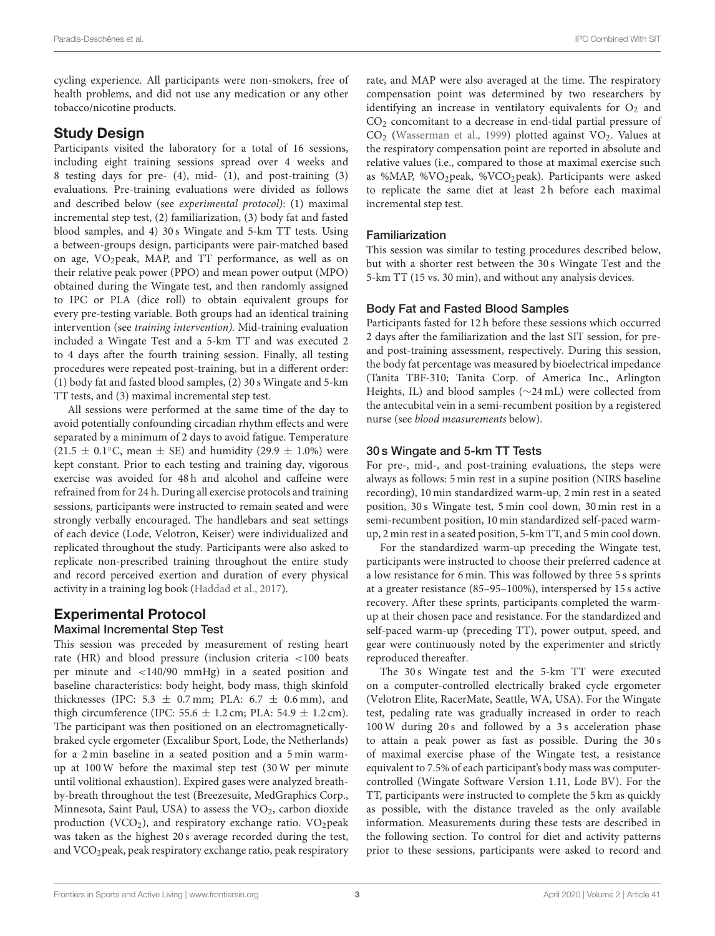cycling experience. All participants were non-smokers, free of health problems, and did not use any medication or any other tobacco/nicotine products.

## Study Design

Participants visited the laboratory for a total of 16 sessions, including eight training sessions spread over 4 weeks and 8 testing days for pre- (4), mid- (1), and post-training (3) evaluations. Pre-training evaluations were divided as follows and described below (see experimental protocol): (1) maximal incremental step test, (2) familiarization, (3) body fat and fasted blood samples, and 4) 30 s Wingate and 5-km TT tests. Using a between-groups design, participants were pair-matched based on age, VO2peak, MAP, and TT performance, as well as on their relative peak power (PPO) and mean power output (MPO) obtained during the Wingate test, and then randomly assigned to IPC or PLA (dice roll) to obtain equivalent groups for every pre-testing variable. Both groups had an identical training intervention (see training intervention). Mid-training evaluation included a Wingate Test and a 5-km TT and was executed 2 to 4 days after the fourth training session. Finally, all testing procedures were repeated post-training, but in a different order: (1) body fat and fasted blood samples, (2) 30 s Wingate and 5-km TT tests, and (3) maximal incremental step test.

All sessions were performed at the same time of the day to avoid potentially confounding circadian rhythm effects and were separated by a minimum of 2 days to avoid fatigue. Temperature  $(21.5 \pm 0.1$ °C, mean  $\pm$  SE) and humidity (29.9  $\pm$  1.0%) were kept constant. Prior to each testing and training day, vigorous exercise was avoided for 48 h and alcohol and caffeine were refrained from for 24 h. During all exercise protocols and training sessions, participants were instructed to remain seated and were strongly verbally encouraged. The handlebars and seat settings of each device (Lode, Velotron, Keiser) were individualized and replicated throughout the study. Participants were also asked to replicate non-prescribed training throughout the entire study and record perceived exertion and duration of every physical activity in a training log book [\(Haddad et al., 2017\)](#page-13-12).

# Experimental Protocol

#### Maximal Incremental Step Test

This session was preceded by measurement of resting heart rate (HR) and blood pressure (inclusion criteria <100 beats per minute and <140/90 mmHg) in a seated position and baseline characteristics: body height, body mass, thigh skinfold thicknesses (IPC: 5.3  $\pm$  0.7 mm; PLA: 6.7  $\pm$  0.6 mm), and thigh circumference (IPC: 55.6  $\pm$  1.2 cm; PLA: 54.9  $\pm$  1.2 cm). The participant was then positioned on an electromagneticallybraked cycle ergometer (Excalibur Sport, Lode, the Netherlands) for a 2 min baseline in a seated position and a 5 min warmup at 100 W before the maximal step test (30 W per minute until volitional exhaustion). Expired gases were analyzed breathby-breath throughout the test (Breezesuite, MedGraphics Corp., Minnesota, Saint Paul, USA) to assess the  $VO<sub>2</sub>$ , carbon dioxide production (VCO<sub>2</sub>), and respiratory exchange ratio. VO<sub>2</sub>peak was taken as the highest 20 s average recorded during the test, and VCO<sub>2</sub> peak, peak respiratory exchange ratio, peak respiratory rate, and MAP were also averaged at the time. The respiratory compensation point was determined by two researchers by identifying an increase in ventilatory equivalents for  $O_2$  and CO<sup>2</sup> concomitant to a decrease in end-tidal partial pressure of  $CO<sub>2</sub>$  [\(Wasserman et al., 1999\)](#page-15-1) plotted against  $VO<sub>2</sub>$ . Values at the respiratory compensation point are reported in absolute and relative values (i.e., compared to those at maximal exercise such as %MAP, %VO2peak, %VCO2peak). Participants were asked to replicate the same diet at least 2 h before each maximal incremental step test.

#### Familiarization

This session was similar to testing procedures described below, but with a shorter rest between the 30 s Wingate Test and the 5-km TT (15 vs. 30 min), and without any analysis devices.

#### Body Fat and Fasted Blood Samples

Participants fasted for 12 h before these sessions which occurred 2 days after the familiarization and the last SIT session, for preand post-training assessment, respectively. During this session, the body fat percentage was measured by bioelectrical impedance (Tanita TBF-310; Tanita Corp. of America Inc., Arlington Heights, IL) and blood samples (∼24 mL) were collected from the antecubital vein in a semi-recumbent position by a registered nurse (see blood measurements below).

#### 30 s Wingate and 5-km TT Tests

For pre-, mid-, and post-training evaluations, the steps were always as follows: 5 min rest in a supine position (NIRS baseline recording), 10 min standardized warm-up, 2 min rest in a seated position, 30 s Wingate test, 5 min cool down, 30 min rest in a semi-recumbent position, 10 min standardized self-paced warmup, 2 min rest in a seated position, 5-km TT, and 5 min cool down.

For the standardized warm-up preceding the Wingate test, participants were instructed to choose their preferred cadence at a low resistance for 6 min. This was followed by three 5 s sprints at a greater resistance (85–95–100%), interspersed by 15 s active recovery. After these sprints, participants completed the warmup at their chosen pace and resistance. For the standardized and self-paced warm-up (preceding TT), power output, speed, and gear were continuously noted by the experimenter and strictly reproduced thereafter.

The 30 s Wingate test and the 5-km TT were executed on a computer-controlled electrically braked cycle ergometer (Velotron Elite, RacerMate, Seattle, WA, USA). For the Wingate test, pedaling rate was gradually increased in order to reach 100 W during 20 s and followed by a 3 s acceleration phase to attain a peak power as fast as possible. During the 30 s of maximal exercise phase of the Wingate test, a resistance equivalent to 7.5% of each participant's body mass was computercontrolled (Wingate Software Version 1.11, Lode BV). For the TT, participants were instructed to complete the 5 km as quickly as possible, with the distance traveled as the only available information. Measurements during these tests are described in the following section. To control for diet and activity patterns prior to these sessions, participants were asked to record and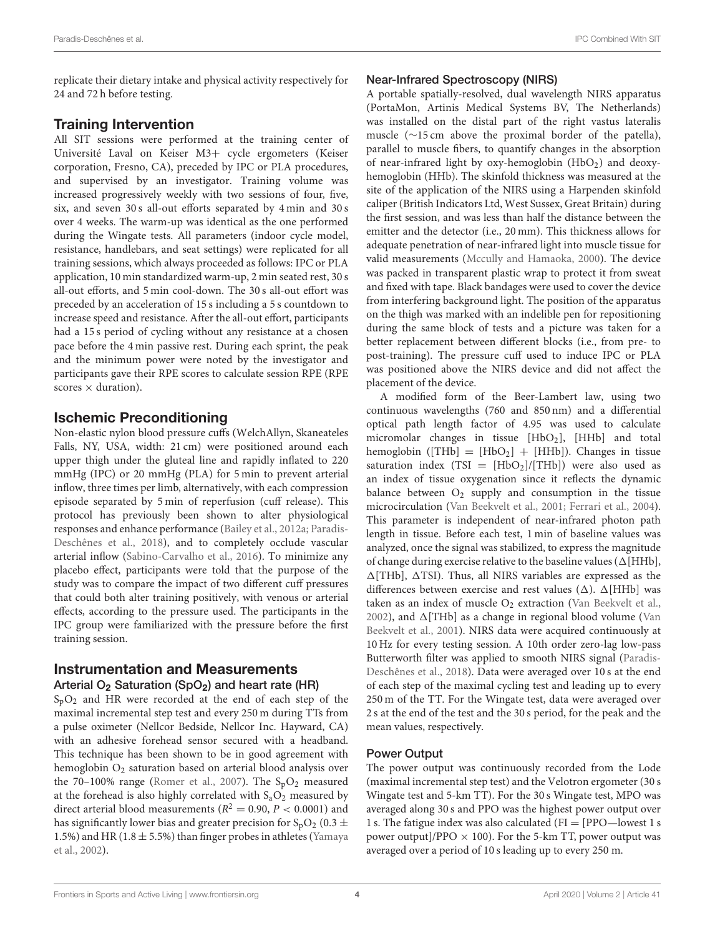replicate their dietary intake and physical activity respectively for 24 and 72 h before testing.

## Training Intervention

All SIT sessions were performed at the training center of Université Laval on Keiser M3+ cycle ergometers (Keiser corporation, Fresno, CA), preceded by IPC or PLA procedures, and supervised by an investigator. Training volume was increased progressively weekly with two sessions of four, five, six, and seven 30 s all-out efforts separated by 4 min and 30 s over 4 weeks. The warm-up was identical as the one performed during the Wingate tests. All parameters (indoor cycle model, resistance, handlebars, and seat settings) were replicated for all training sessions, which always proceeded as follows: IPC or PLA application, 10 min standardized warm-up, 2 min seated rest, 30 s all-out efforts, and 5 min cool-down. The 30 s all-out effort was preceded by an acceleration of 15 s including a 5 s countdown to increase speed and resistance. After the all-out effort, participants had a 15 s period of cycling without any resistance at a chosen pace before the 4 min passive rest. During each sprint, the peak and the minimum power were noted by the investigator and participants gave their RPE scores to calculate session RPE (RPE scores  $\times$  duration).

## Ischemic Preconditioning

Non-elastic nylon blood pressure cuffs (WelchAllyn, Skaneateles Falls, NY, USA, width: 21 cm) were positioned around each upper thigh under the gluteal line and rapidly inflated to 220 mmHg (IPC) or 20 mmHg (PLA) for 5 min to prevent arterial inflow, three times per limb, alternatively, with each compression episode separated by 5 min of reperfusion (cuff release). This protocol has previously been shown to alter physiological responses and enhance performance [\(Bailey et al., 2012a;](#page-13-2) Paradis-Deschênes et al., [2018\)](#page-14-3), and to completely occlude vascular arterial inflow [\(Sabino-Carvalho et al., 2016\)](#page-14-18). To minimize any placebo effect, participants were told that the purpose of the study was to compare the impact of two different cuff pressures that could both alter training positively, with venous or arterial effects, according to the pressure used. The participants in the IPC group were familiarized with the pressure before the first training session.

#### Instrumentation and Measurements Arterial  $O_2$  Saturation (SpO<sub>2</sub>) and heart rate (HR)

 $S_pO_2$  and HR were recorded at the end of each step of the maximal incremental step test and every 250 m during TTs from a pulse oximeter (Nellcor Bedside, Nellcor Inc. Hayward, CA) with an adhesive forehead sensor secured with a headband. This technique has been shown to be in good agreement with hemoglobin O<sub>2</sub> saturation based on arterial blood analysis over the 70–100% range [\(Romer et al., 2007\)](#page-14-19). The  $S_pO_2$  measured at the forehead is also highly correlated with  $S_aO_2$  measured by direct arterial blood measurements ( $R^2 = 0.90$ ,  $P < 0.0001$ ) and has significantly lower bias and greater precision for  $S_pO_2$  (0.3  $\pm$ 1.5%) and HR (1.8  $\pm$  5.5%) than finger probes in athletes (Yamaya et al., [2002\)](#page-15-2).

#### Near-Infrared Spectroscopy (NIRS)

A portable spatially-resolved, dual wavelength NIRS apparatus (PortaMon, Artinis Medical Systems BV, The Netherlands) was installed on the distal part of the right vastus lateralis muscle (∼15 cm above the proximal border of the patella), parallel to muscle fibers, to quantify changes in the absorption of near-infrared light by oxy-hemoglobin (HbO<sub>2</sub>) and deoxyhemoglobin (HHb). The skinfold thickness was measured at the site of the application of the NIRS using a Harpenden skinfold caliper (British Indicators Ltd, West Sussex, Great Britain) during the first session, and was less than half the distance between the emitter and the detector (i.e., 20 mm). This thickness allows for adequate penetration of near-infrared light into muscle tissue for valid measurements [\(Mccully and Hamaoka, 2000\)](#page-14-20). The device was packed in transparent plastic wrap to protect it from sweat and fixed with tape. Black bandages were used to cover the device from interfering background light. The position of the apparatus on the thigh was marked with an indelible pen for repositioning during the same block of tests and a picture was taken for a better replacement between different blocks (i.e., from pre- to post-training). The pressure cuff used to induce IPC or PLA was positioned above the NIRS device and did not affect the placement of the device.

A modified form of the Beer-Lambert law, using two continuous wavelengths (760 and 850 nm) and a differential optical path length factor of 4.95 was used to calculate micromolar changes in tissue [HbO<sub>2</sub>], [HHb] and total hemoglobin ([THb]  $=$  [HbO<sub>2</sub>]  $+$  [HHb]). Changes in tissue saturation index (TSI =  $[HbO<sub>2</sub>]/[THb]$ ) were also used as an index of tissue oxygenation since it reflects the dynamic balance between  $O_2$  supply and consumption in the tissue microcirculation [\(Van Beekvelt et al., 2001;](#page-15-3) [Ferrari et al., 2004\)](#page-13-13). This parameter is independent of near-infrared photon path length in tissue. Before each test, 1 min of baseline values was analyzed, once the signal was stabilized, to express the magnitude of change during exercise relative to the baseline values ( $\Delta$ [HHb],  $\Delta$ [THb],  $\Delta$ TSI). Thus, all NIRS variables are expressed as the differences between exercise and rest values ( $\Delta$ ).  $\Delta$ [HHb] was taken as an index of muscle  $O_2$  extraction [\(Van Beekvelt et al.,](#page-14-21) [2002\)](#page-14-21), and  $\Delta$ [THb] as a change in regional blood volume (Van Beekvelt et al., [2001\)](#page-15-3). NIRS data were acquired continuously at 10 Hz for every testing session. A 10th order zero-lag low-pass Butterworth filter was applied to smooth NIRS signal (Paradis-Deschênes et al., [2018\)](#page-14-3). Data were averaged over 10 s at the end of each step of the maximal cycling test and leading up to every 250 m of the TT. For the Wingate test, data were averaged over 2 s at the end of the test and the 30 s period, for the peak and the mean values, respectively.

### Power Output

The power output was continuously recorded from the Lode (maximal incremental step test) and the Velotron ergometer (30 s Wingate test and 5-km TT). For the 30 s Wingate test, MPO was averaged along 30 s and PPO was the highest power output over 1 s. The fatigue index was also calculated (FI = [PPO—lowest 1 s power output]/PPO  $\times$  100). For the 5-km TT, power output was averaged over a period of 10 s leading up to every 250 m.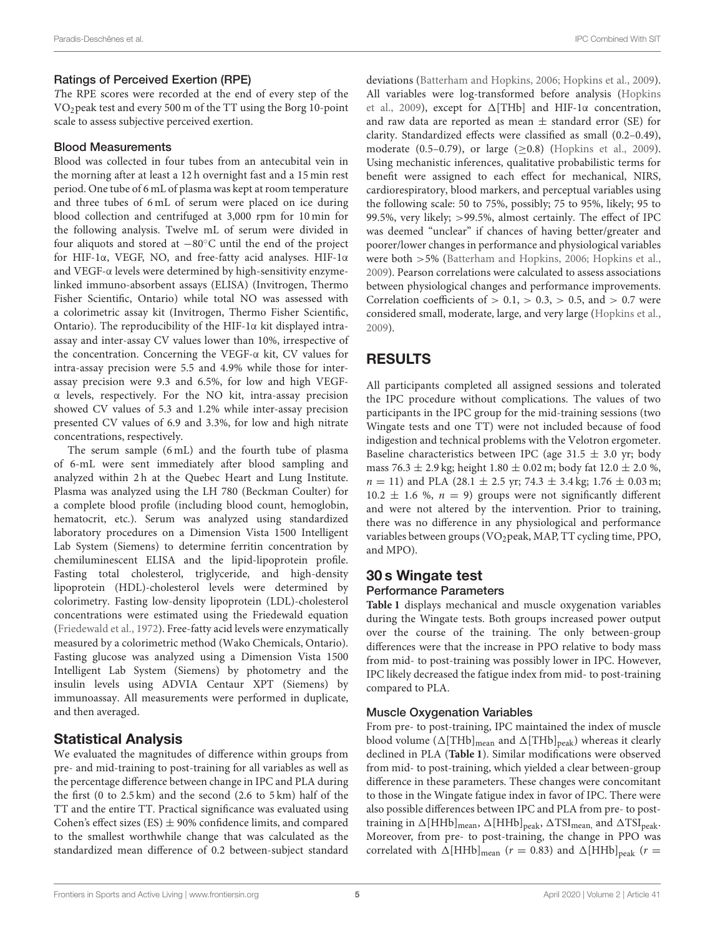#### Ratings of Perceived Exertion (RPE)

The RPE scores were recorded at the end of every step of the VO2peak test and every 500 m of the TT using the Borg 10-point scale to assess subjective perceived exertion.

#### Blood Measurements

Blood was collected in four tubes from an antecubital vein in the morning after at least a 12 h overnight fast and a 15 min rest period. One tube of 6 mL of plasma was kept at room temperature and three tubes of 6 mL of serum were placed on ice during blood collection and centrifuged at 3,000 rpm for 10 min for the following analysis. Twelve mL of serum were divided in four aliquots and stored at −80◦C until the end of the project for HIF-1α, VEGF, NO, and free-fatty acid analyses. HIF-1α and VEGF-α levels were determined by high-sensitivity enzymelinked immuno-absorbent assays (ELISA) (Invitrogen, Thermo Fisher Scientific, Ontario) while total NO was assessed with a colorimetric assay kit (Invitrogen, Thermo Fisher Scientific, Ontario). The reproducibility of the HIF-1α kit displayed intraassay and inter-assay CV values lower than 10%, irrespective of the concentration. Concerning the VEGF-α kit, CV values for intra-assay precision were 5.5 and 4.9% while those for interassay precision were 9.3 and 6.5%, for low and high VEGFα levels, respectively. For the NO kit, intra-assay precision showed CV values of 5.3 and 1.2% while inter-assay precision presented CV values of 6.9 and 3.3%, for low and high nitrate concentrations, respectively.

The serum sample (6 mL) and the fourth tube of plasma of 6-mL were sent immediately after blood sampling and analyzed within 2h at the Quebec Heart and Lung Institute. Plasma was analyzed using the LH 780 (Beckman Coulter) for a complete blood profile (including blood count, hemoglobin, hematocrit, etc.). Serum was analyzed using standardized laboratory procedures on a Dimension Vista 1500 Intelligent Lab System (Siemens) to determine ferritin concentration by chemiluminescent ELISA and the lipid-lipoprotein profile. Fasting total cholesterol, triglyceride, and high-density lipoprotein (HDL)-cholesterol levels were determined by colorimetry. Fasting low-density lipoprotein (LDL)-cholesterol concentrations were estimated using the Friedewald equation [\(Friedewald et al., 1972\)](#page-13-14). Free-fatty acid levels were enzymatically measured by a colorimetric method (Wako Chemicals, Ontario). Fasting glucose was analyzed using a Dimension Vista 1500 Intelligent Lab System (Siemens) by photometry and the insulin levels using ADVIA Centaur XPT (Siemens) by immunoassay. All measurements were performed in duplicate, and then averaged.

## Statistical Analysis

We evaluated the magnitudes of difference within groups from pre- and mid-training to post-training for all variables as well as the percentage difference between change in IPC and PLA during the first (0 to 2.5 km) and the second (2.6 to 5 km) half of the TT and the entire TT. Practical significance was evaluated using Cohen's effect sizes (ES)  $\pm$  90% confidence limits, and compared to the smallest worthwhile change that was calculated as the standardized mean difference of 0.2 between-subject standard

deviations [\(Batterham and Hopkins, 2006;](#page-13-15) [Hopkins et al., 2009\)](#page-14-22). All variables were log-transformed before analysis (Hopkins et al., [2009\)](#page-14-22), except for 1[THb] and HIF-1α concentration, and raw data are reported as mean  $\pm$  standard error (SE) for clarity. Standardized effects were classified as small (0.2–0.49), moderate  $(0.5-0.79)$ , or large  $(>0.8)$  [\(Hopkins et al., 2009\)](#page-14-22). Using mechanistic inferences, qualitative probabilistic terms for benefit were assigned to each effect for mechanical, NIRS, cardiorespiratory, blood markers, and perceptual variables using the following scale: 50 to 75%, possibly; 75 to 95%, likely; 95 to 99.5%, very likely; >99.5%, almost certainly. The effect of IPC was deemed "unclear" if chances of having better/greater and poorer/lower changes in performance and physiological variables were both >5% [\(Batterham and Hopkins, 2006;](#page-13-15) [Hopkins et al.,](#page-14-22) [2009\)](#page-14-22). Pearson correlations were calculated to assess associations between physiological changes and performance improvements. Correlation coefficients of  $> 0.1$ ,  $> 0.3$ ,  $> 0.5$ , and  $> 0.7$  were considered small, moderate, large, and very large [\(Hopkins et al.,](#page-14-22) [2009\)](#page-14-22).

## RESULTS

All participants completed all assigned sessions and tolerated the IPC procedure without complications. The values of two participants in the IPC group for the mid-training sessions (two Wingate tests and one TT) were not included because of food indigestion and technical problems with the Velotron ergometer. Baseline characteristics between IPC (age 31.5  $\pm$  3.0 yr; body mass 76.3  $\pm$  2.9 kg; height 1.80  $\pm$  0.02 m; body fat 12.0  $\pm$  2.0 %,  $n = 11$ ) and PLA (28.1  $\pm$  2.5 yr; 74.3  $\pm$  3.4 kg; 1.76  $\pm$  0.03 m;  $10.2 \pm 1.6$  %,  $n = 9$ ) groups were not significantly different and were not altered by the intervention. Prior to training, there was no difference in any physiological and performance variables between groups (VO<sub>2</sub>peak, MAP, TT cycling time, PPO, and MPO).

## 30 s Wingate test Performance Parameters

**[Table 1](#page-5-0)** displays mechanical and muscle oxygenation variables during the Wingate tests. Both groups increased power output over the course of the training. The only between-group differences were that the increase in PPO relative to body mass from mid- to post-training was possibly lower in IPC. However, IPC likely decreased the fatigue index from mid- to post-training compared to PLA.

### Muscle Oxygenation Variables

From pre- to post-training, IPC maintained the index of muscle blood volume ( $\Delta[\text{THb}]_{\text{mean}}$  and  $\Delta[\text{THb}]_{\text{peak}}$ ) whereas it clearly declined in PLA (**[Table 1](#page-5-0)**). Similar modifications were observed from mid- to post-training, which yielded a clear between-group difference in these parameters. These changes were concomitant to those in the Wingate fatigue index in favor of IPC. There were also possible differences between IPC and PLA from pre- to posttraining in  $\Delta[\text{HHb}]_{\text{mean}}$ ,  $\Delta[\text{HHb}]_{\text{peak}}$ ,  $\Delta \text{TSI}_{\text{mean}}$ , and  $\Delta \text{TSI}_{\text{peak}}$ . Moreover, from pre- to post-training, the change in PPO was correlated with  $\Delta[\text{HHb}]_{\text{mean}}$  ( $r = 0.83$ ) and  $\Delta[\text{HHb}]_{\text{peak}}$  ( $r =$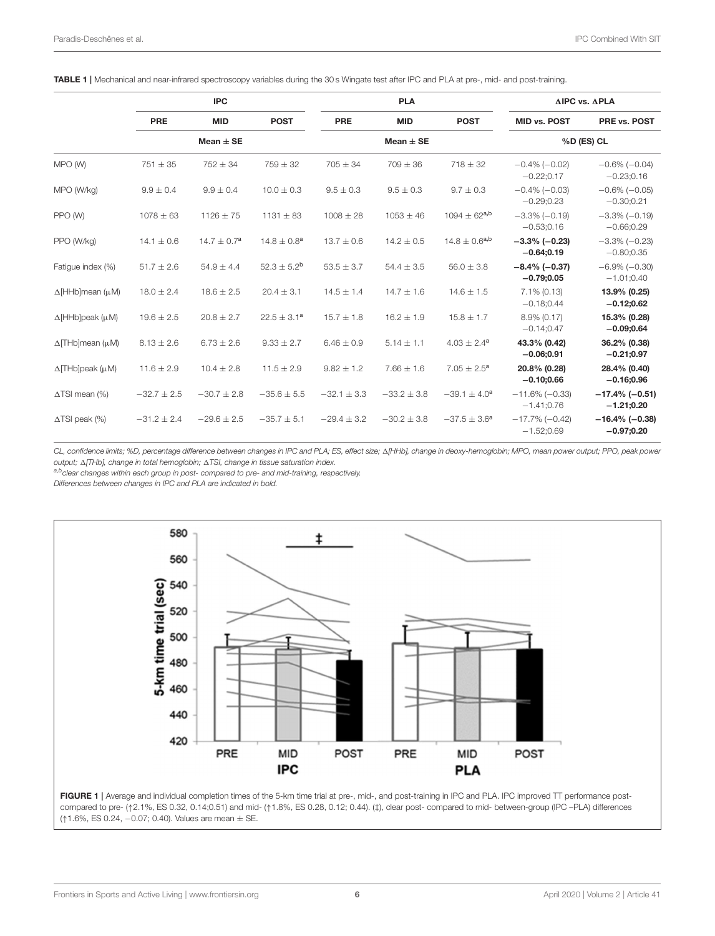<span id="page-5-0"></span>

|                               | <b>IPC</b>      |                  |                             |                 | <b>PLA</b>      |                      | <b>AIPC vs. APLA</b>                  |                                      |  |
|-------------------------------|-----------------|------------------|-----------------------------|-----------------|-----------------|----------------------|---------------------------------------|--------------------------------------|--|
|                               | PRE             | <b>MID</b>       | <b>POST</b>                 | PRE             | <b>MID</b>      | <b>POST</b>          | <b>MID vs. POST</b>                   | PRE vs. POST                         |  |
|                               | Mean $\pm$ SE   |                  |                             |                 | Mean $\pm$ SE   |                      |                                       | %D (ES) CL                           |  |
| MPO (W)                       | $751 \pm 35$    | $752 \pm 34$     | $759 \pm 32$                | $705 \pm 34$    | $709 \pm 36$    | $718 \pm 32$         | $-0.4\%$ ( $-0.02$ )<br>$-0.22;0.17$  | $-0.6\%$ ( $-0.04$ )<br>$-0.23;0.16$ |  |
| MPO (W/kg)                    | $9.9 \pm 0.4$   | $9.9 \pm 0.4$    | $10.0 \pm 0.3$              | $9.5 \pm 0.3$   | $9.5 \pm 0.3$   | $9.7 \pm 0.3$        | $-0.4\%$ ( $-0.03$ )<br>$-0.29;0.23$  | $-0.6\%$ ( $-0.05$ )<br>$-0.30;0.21$ |  |
| PPO (W)                       | $1078 \pm 63$   | $1126 \pm 75$    | $1131 \pm 83$               | $1008 \pm 28$   | $1053 \pm 46$   | $1094 \pm 62^{a,b}$  | $-3.3\%(-0.19)$<br>$-0.53;0.16$       | $-3.3\%(-0.19)$<br>$-0.66;0.29$      |  |
| PPO (W/kg)                    | $14.1 \pm 0.6$  | $14.7 \pm 0.7^a$ | $14.8 \pm 0.8$ <sup>a</sup> | $13.7 \pm 0.6$  | $14.2 \pm 0.5$  | $14.8 \pm 0.6^{a,b}$ | $-3.3\%$ (-0.23)<br>$-0.64;0.19$      | $-3.3\%(-0.23)$<br>$-0.80;0.35$      |  |
| Fatique index (%)             | $51.7 \pm 2.6$  | $54.9 \pm 4.4$   | $52.3 \pm 5.2^b$            | $53.5 \pm 3.7$  | $54.4 \pm 3.5$  | $56.0 \pm 3.8$       | $-8.4\%$ (-0.37)<br>$-0.79;0.05$      | $-6.9\%$ ( $-0.30$ )<br>$-1.01;0.40$ |  |
| $\Delta$ [HHb]mean ( $\mu$ M) | $18.0 \pm 2.4$  | $18.6 \pm 2.5$   | $20.4 \pm 3.1$              | $14.5 \pm 1.4$  | $14.7 \pm 1.6$  | $14.6 \pm 1.5$       | $7.1\%$ (0.13)<br>$-0.18;0.44$        | 13.9% (0.25)<br>$-0.12;0.62$         |  |
| $\Delta$ [HHb]peak (µM)       | $19.6 \pm 2.5$  | $20.8 \pm 2.7$   | $22.5 \pm 3.1^a$            | $15.7 \pm 1.8$  | $16.2 \pm 1.9$  | $15.8 \pm 1.7$       | $8.9\%$ (0.17)<br>$-0.14;0.47$        | 15.3% (0.28)<br>$-0.09;0.64$         |  |
| $\Delta$ [THb]mean ( $\mu$ M) | $8.13 \pm 2.6$  | $6.73 \pm 2.6$   | $9.33 \pm 2.7$              | $6.46 \pm 0.9$  | $5.14 \pm 1.1$  | $4.03 \pm 2.4^a$     | 43.3% (0.42)<br>$-0.06;0.91$          | 36.2% (0.38)<br>$-0.21;0.97$         |  |
| $\Delta$ [THb]peak ( $\mu$ M) | $11.6 \pm 2.9$  | $10.4 \pm 2.8$   | $11.5 \pm 2.9$              | $9.82 \pm 1.2$  | $7.66 \pm 1.6$  | $7.05 \pm 2.5^a$     | 20.8% (0.28)<br>$-0.10;0.66$          | 28.4% (0.40)<br>$-0.16;0.96$         |  |
| $\Delta$ TSI mean (%)         | $-32.7 \pm 2.5$ | $-30.7 \pm 2.8$  | $-35.6 \pm 5.5$             | $-32.1 \pm 3.3$ | $-33.2 \pm 3.8$ | $-39.1 \pm 4.0^a$    | $-11.6\%$ ( $-0.33$ )<br>$-1.41;0.76$ | $-17.4\%$ (-0.51)<br>$-1.21;0.20$    |  |
| $\Delta$ TSI peak (%)         | $-31.2 \pm 2.4$ | $-29.6 \pm 2.5$  | $-35.7 \pm 5.1$             | $-29.4 \pm 3.2$ | $-30.2 \pm 3.8$ | $-37.5 \pm 3.6^a$    | $-17.7\%$ (-0.42)<br>$-1.52;0.69$     | $-16.4\%$ (-0.38)<br>$-0.97;0.20$    |  |

CL, confidence limits; %D, percentage difference between changes in IPC and PLA; ES, effect size;  $\Delta$ [HHb], change in deoxy-hemoglobin; MPO, mean power output; PPO, peak power output;  $\Delta$ [THb], change in total hemoglobin;  $\Delta$ TSI, change in tissue saturation index.

a,b clear changes within each group in post- compared to pre- and mid-training, respectively.

Differences between changes in IPC and PLA are indicated in bold.



<span id="page-5-1"></span>FIGURE 1 | Average and individual completion times of the 5-km time trial at pre-, mid-, and post-training in IPC and PLA. IPC improved TT performance postcompared to pre- (↑2.1%, ES 0.32, 0.14;0.51) and mid- (↑1.8%, ES 0.28, 0.12; 0.44). (‡), clear post- compared to mid- between-group (IPC –PLA) differences (↑1.6%, ES 0.24, −0.07; 0.40). Values are mean ± SE.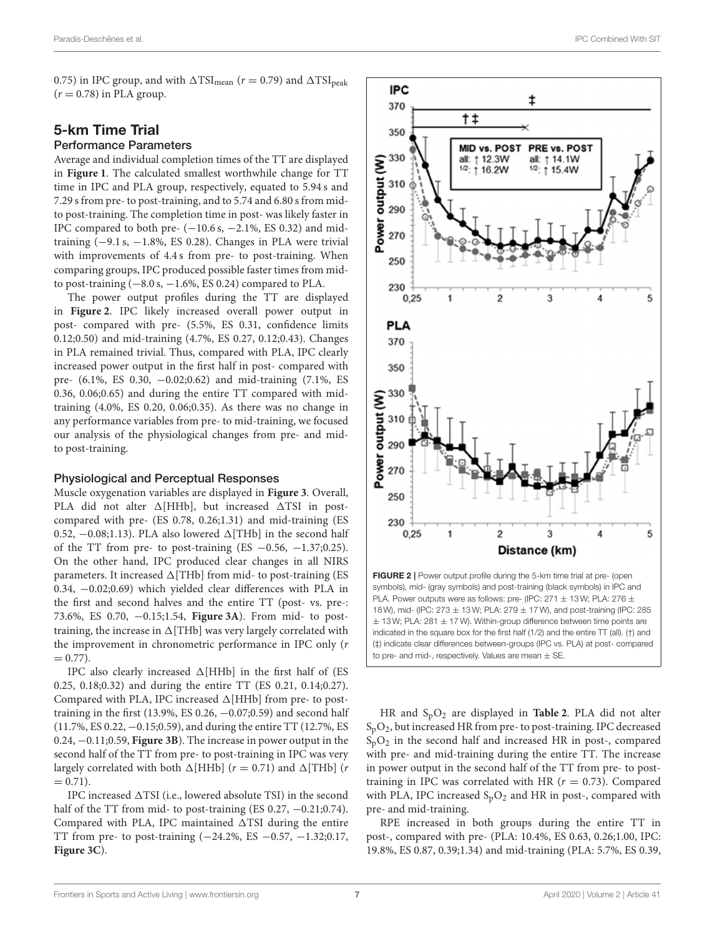0.75) in IPC group, and with  $\Delta$ TSI<sub>mean</sub> ( $r = 0.79$ ) and  $\Delta$ TSI<sub>peak</sub>  $(r = 0.78)$  in PLA group.

#### 5-km Time Trial Performance Parameters

#### Average and individual completion times of the TT are displayed in **[Figure 1](#page-5-1)**. The calculated smallest worthwhile change for TT time in IPC and PLA group, respectively, equated to 5.94 s and 7.29 s from pre- to post-training, and to 5.74 and 6.80 s from midto post-training. The completion time in post- was likely faster in IPC compared to both pre-  $(-10.6 s, -2.1$ %, ES 0.32) and midtraining  $(-9.1 s, -1.8\%, ES 0.28)$ . Changes in PLA were trivial with improvements of 4.4 s from pre- to post-training. When comparing groups, IPC produced possible faster times from midto post-training  $(-8.0 \text{ s}, -1.6\%, \text{ES } 0.24)$  compared to PLA.

The power output profiles during the TT are displayed in **[Figure 2](#page-6-0)**. IPC likely increased overall power output in post- compared with pre- (5.5%, ES 0.31, confidence limits 0.12;0.50) and mid-training (4.7%, ES 0.27, 0.12;0.43). Changes in PLA remained trivial. Thus, compared with PLA, IPC clearly increased power output in the first half in post- compared with pre- (6.1%, ES 0.30, −0.02;0.62) and mid-training (7.1%, ES 0.36, 0.06;0.65) and during the entire TT compared with midtraining (4.0%, ES 0.20, 0.06;0.35). As there was no change in any performance variables from pre- to mid-training, we focused our analysis of the physiological changes from pre- and midto post-training.

#### Physiological and Perceptual Responses

Muscle oxygenation variables are displayed in **[Figure 3](#page-7-0)**. Overall, PLA did not alter  $\Delta$ [HHb], but increased  $\Delta$ TSI in postcompared with pre- (ES 0.78, 0.26;1.31) and mid-training (ES 0.52,  $-0.08;1.13$ ). PLA also lowered  $\Delta$ [THb] in the second half of the TT from pre- to post-training (ES  $-0.56$ ,  $-1.37;0.25$ ). On the other hand, IPC produced clear changes in all NIRS parameters. It increased  $\Delta$ [THb] from mid- to post-training (ES 0.34, −0.02;0.69) which yielded clear differences with PLA in the first and second halves and the entire TT (post- vs. pre-: 73.6%, ES 0.70, −0.15;1.54, **[Figure 3A](#page-7-0)**). From mid- to posttraining, the increase in  $\Delta$ [THb] was very largely correlated with the improvement in chronometric performance in IPC only (r  $= 0.77$ ).

IPC also clearly increased  $\Delta$ [HHb] in the first half of (ES 0.25, 0.18;0.32) and during the entire TT (ES 0.21, 0.14;0.27). Compared with PLA, IPC increased  $\Delta$ [HHb] from pre- to posttraining in the first (13.9%, ES  $0.26$ ,  $-0.07;0.59$ ) and second half (11.7%, ES 0.22, −0.15;0.59), and during the entire TT (12.7%, ES 0.24, −0.11;0.59, **[Figure 3B](#page-7-0)**). The increase in power output in the second half of the TT from pre- to post-training in IPC was very largely correlated with both  $\Delta$ [HHb] (r = 0.71) and  $\Delta$ [THb] (r  $= 0.71$ .

IPC increased  $\Delta$ TSI (i.e., lowered absolute TSI) in the second half of the TT from mid- to post-training (ES 0.27, −0.21;0.74). Compared with PLA, IPC maintained  $\Delta$ TSI during the entire TT from pre- to post-training (−24.2%, ES −0.57, −1.32;0.17, **[Figure 3C](#page-7-0)**).



<span id="page-6-0"></span>HR and SpO<sup>2</sup> are displayed in **[Table 2](#page-8-0)**. PLA did not alter  $S_pO_2$ , but increased HR from pre- to post-training. IPC decreased  $S_pO_2$  in the second half and increased HR in post-, compared with pre- and mid-training during the entire TT. The increase in power output in the second half of the TT from pre- to posttraining in IPC was correlated with HR ( $r = 0.73$ ). Compared with PLA, IPC increased  $S_pO_2$  and HR in post-, compared with pre- and mid-training.

RPE increased in both groups during the entire TT in post-, compared with pre- (PLA: 10.4%, ES 0.63, 0.26;1.00, IPC: 19.8%, ES 0.87, 0.39;1.34) and mid-training (PLA: 5.7%, ES 0.39,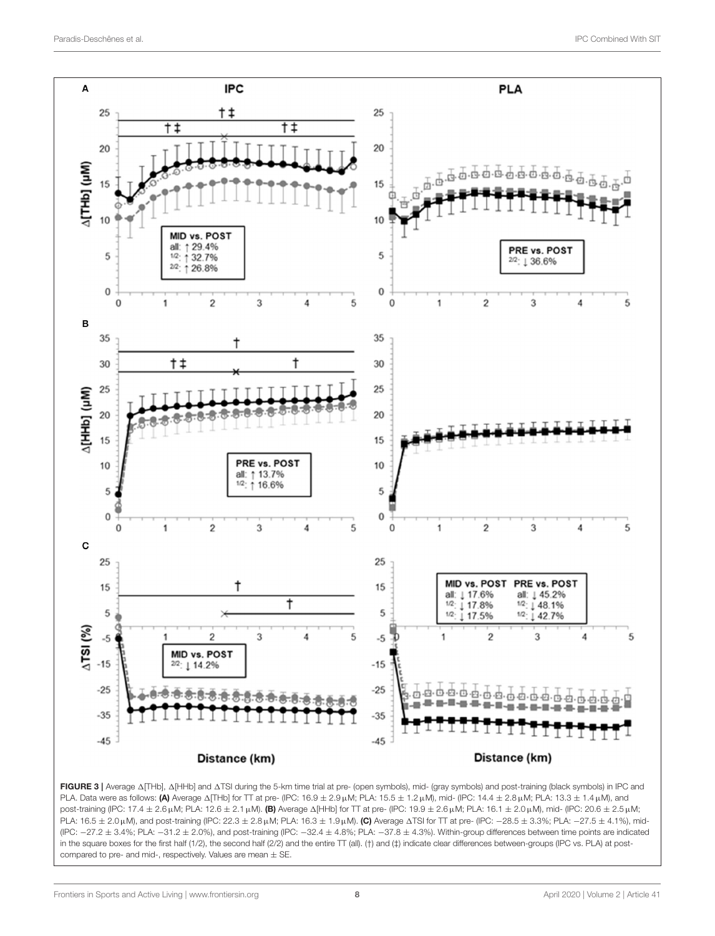

<span id="page-7-0"></span>FIGURE 3 | Average AITHb], AIHHb] and ATSI during the 5-km time trial at pre- (open symbols), mid- (gray symbols) and post-training (black symbols) in IPC and PLA. Data were as follows: (A) Average  $\Delta$ [THb] for TT at pre- (IPC: 16.9 ± 2.9 µM; PLA: 15.5 ± 1.2 µM), mid- (IPC: 14.4 ± 2.8 µM; PLA: 13.3 ± 1.4 µM), and post-training (IPC: 17.4 ± 2.6 µM; PLA: 12.6 ± 2.1 µM). (B) Average  $\Delta$ [HHb] for TT at pre- (IPC: 19.9 ± 2.6 µM; PLA: 16.1 ± 2.0 µM), mid- (IPC: 20.6 ± 2.5 µM; PLA: 16.5 ± 2.0 µM), and post-training (IPC: 22.3 ± 2.8 µM; PLA: 16.3 ± 1.9 µM). (C) Average  $\Delta$ TSI for TT at pre- (IPC: -28.5 ± 3.3%; PLA: -27.5 ± 4.1%), mid-(IPC: −27.2 ± 3.4%; PLA: −31.2 ± 2.0%), and post-training (IPC: −32.4 ± 4.8%; PLA: −37.8 ± 4.3%). Within-group differences between time points are indicated in the square boxes for the first half (1/2), the second half (2/2) and the entire  $TT$  (all). (†) and (‡) indicate clear differences between-groups (IPC vs. PLA) at postcompared to pre- and mid-, respectively. Values are mean  $\pm$  SE.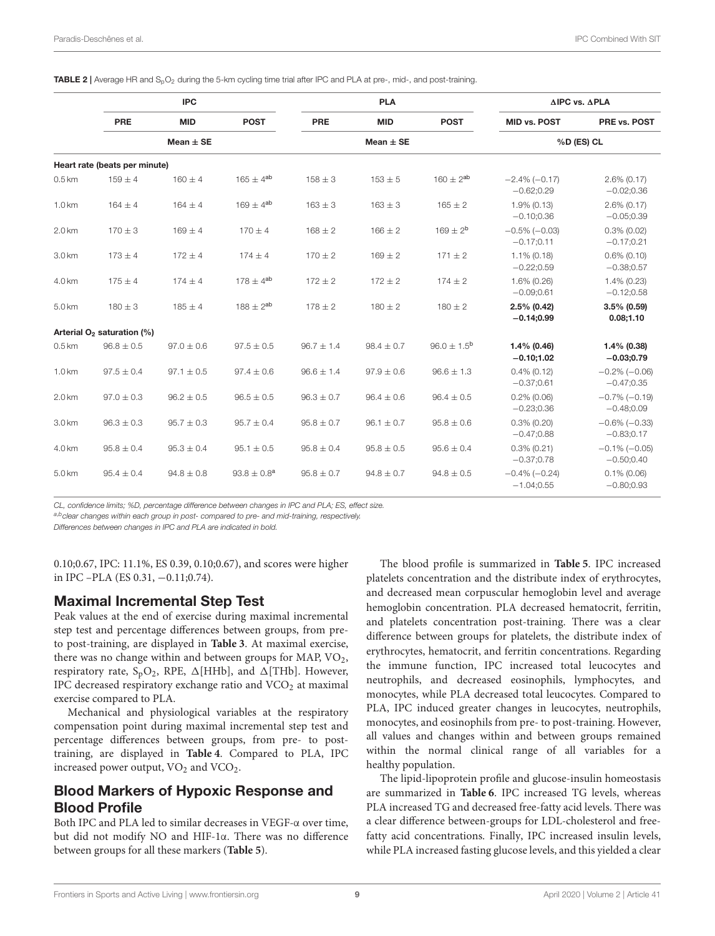<span id="page-8-0"></span>TABLE 2 | Average HR and  $S_pO_2$  during the 5-km cycling time trial after IPC and PLA at pre-, mid-, and post-training.

|                   | <b>IPC</b>                             |                |                  |                | <b>PLA</b>     |                        | $\triangle$ IPC vs. $\triangle$ PLA  |                                      |
|-------------------|----------------------------------------|----------------|------------------|----------------|----------------|------------------------|--------------------------------------|--------------------------------------|
|                   | PRE                                    | <b>MID</b>     | <b>POST</b>      | PRE            | <b>MID</b>     | <b>POST</b>            | <b>MID vs. POST</b>                  | PRE vs. POST                         |
|                   | Mean $\pm$ SE                          |                |                  |                | Mean $\pm$ SE  |                        | %D (ES) CL                           |                                      |
|                   | Heart rate (beats per minute)          |                |                  |                |                |                        |                                      |                                      |
| 0.5 <sub>km</sub> | $159 \pm 4$                            | $160 \pm 4$    | $165 \pm 4^{ab}$ | $158 \pm 3$    | $153 \pm 5$    | $160 \pm 2^{ab}$       | $-2.4\%(-0.17)$<br>$-0.62;0.29$      | $2.6\%$ (0.17)<br>$-0.02;0.36$       |
| 1.0 <sub>km</sub> | $164 \pm 4$                            | $164 \pm 4$    | $169 \pm 4^{ab}$ | $163 \pm 3$    | $163 \pm 3$    | $165 \pm 2$            | $1.9\%$ (0.13)<br>$-0.10;0.36$       | $2.6\%$ (0.17)<br>$-0.05;0.39$       |
| 2.0 <sub>km</sub> | $170 \pm 3$                            | $169 \pm 4$    | $170 \pm 4$      | $168 \pm 2$    | $166 \pm 2$    | $169 \pm 2^{b}$        | $-0.5\%$ ( $-0.03$ )<br>$-0.17;0.11$ | $0.3\%$ (0.02)<br>$-0.17;0.21$       |
| 3.0 km            | $173 \pm 4$                            | $172 \pm 4$    | $174 \pm 4$      | $170 \pm 2$    | $169 \pm 2$    | $171 \pm 2$            | $1.1\%$ (0.18)<br>$-0.22;0.59$       | $0.6\%$ $(0.10)$<br>$-0.38;0.57$     |
| 4.0 km            | $175 \pm 4$                            | $174 \pm 4$    | $178 \pm 4^{ab}$ | $172 \pm 2$    | $172 \pm 2$    | $174 \pm 2$            | 1.6% (0.26)<br>$-0.09;0.61$          | $1.4\%$ (0.23)<br>$-0.12;0.58$       |
| 5.0 km            | $180 \pm 3$                            | $185 \pm 4$    | $188 \pm 2^{ab}$ | $178 \pm 2$    | $180 \pm 2$    | $180 \pm 2$            | 2.5% (0.42)<br>$-0.14;0.99$          | $3.5\%$ (0.59)<br>0.08; 1.10         |
|                   | Arterial O <sub>2</sub> saturation (%) |                |                  |                |                |                        |                                      |                                      |
| 0.5 <sub>km</sub> | $96.8 \pm 0.5$                         | $97.0 \pm 0.6$ | $97.5 \pm 0.5$   | $96.7 \pm 1.4$ | $98.4 \pm 0.7$ | $96.0 \pm 1.5^{\rm b}$ | $1.4\%$ (0.46)<br>$-0.10;1.02$       | $1.4\%$ (0.38)<br>$-0.03;0.79$       |
| 1.0 <sub>km</sub> | $97.5 \pm 0.4$                         | $97.1 \pm 0.5$ | $97.4 \pm 0.6$   | $96.6 \pm 1.4$ | $97.9 \pm 0.6$ | $96.6 \pm 1.3$         | $0.4\%$ (0.12)<br>$-0.37;0.61$       | $-0.2\%$ ( $-0.06$ )<br>$-0.47;0.35$ |
| 2.0 <sub>km</sub> | $97.0 \pm 0.3$                         | $96.2 \pm 0.5$ | $96.5 \pm 0.5$   | $96.3 \pm 0.7$ | $96.4 \pm 0.6$ | $96.4 \pm 0.5$         | $0.2\%$ (0.06)<br>$-0.23;0.36$       | $-0.7\%(-0.19)$<br>$-0.48;0.09$      |
| 3.0 km            | $96.3 \pm 0.3$                         | $95.7 \pm 0.3$ | $95.7 \pm 0.4$   | $95.8 \pm 0.7$ | $96.1 \pm 0.7$ | $95.8 \pm 0.6$         | $0.3\%$ (0.20)<br>$-0.47;0.88$       | $-0.6\%$ ( $-0.33$ )<br>$-0.83;0.17$ |
| 4.0 km            | $95.8 \pm 0.4$                         | $95.3 \pm 0.4$ | $95.1 \pm 0.5$   | $95.8 \pm 0.4$ | $95.8 \pm 0.5$ | $95.6 \pm 0.4$         | $0.3\%$ (0.21)<br>$-0.37;0.78$       | $-0.1\%$ ( $-0.05$ )<br>$-0.50;0.40$ |
| 5.0 km            | $95.4 \pm 0.4$                         | $94.8 \pm 0.8$ | $93.8 \pm 0.8^a$ | $95.8 \pm 0.7$ | $94.8 \pm 0.7$ | $94.8 \pm 0.5$         | $-0.4\%$ ( $-0.24$ )<br>$-1.04;0.55$ | $0.1\%$ (0.06)<br>$-0.80;0.93$       |

CL, confidence limits; %D, percentage difference between changes in IPC and PLA; ES, effect size.

a,bclear changes within each group in post- compared to pre- and mid-training, respectively.

Differences between changes in IPC and PLA are indicated in bold.

0.10;0.67, IPC: 11.1%, ES 0.39, 0.10;0.67), and scores were higher in IPC –PLA (ES 0.31, −0.11;0.74).

### Maximal Incremental Step Test

Peak values at the end of exercise during maximal incremental step test and percentage differences between groups, from preto post-training, are displayed in **[Table 3](#page-9-0)**. At maximal exercise, there was no change within and between groups for MAP,  $VO<sub>2</sub>$ , respiratory rate,  $S_pO_2$ , RPE,  $\Delta$ [HHb], and  $\Delta$ [THb]. However, IPC decreased respiratory exchange ratio and  $VCO<sub>2</sub>$  at maximal exercise compared to PLA.

Mechanical and physiological variables at the respiratory compensation point during maximal incremental step test and percentage differences between groups, from pre- to posttraining, are displayed in **[Table 4](#page-10-0)**. Compared to PLA, IPC increased power output,  $VO<sub>2</sub>$  and  $VCO<sub>2</sub>$ .

## Blood Markers of Hypoxic Response and Blood Profile

Both IPC and PLA led to similar decreases in VEGF-α over time, but did not modify NO and HIF-1α. There was no difference between groups for all these markers (**[Table 5](#page-11-0)**).

The blood profile is summarized in **[Table 5](#page-11-0)**. IPC increased platelets concentration and the distribute index of erythrocytes, and decreased mean corpuscular hemoglobin level and average hemoglobin concentration. PLA decreased hematocrit, ferritin, and platelets concentration post-training. There was a clear difference between groups for platelets, the distribute index of erythrocytes, hematocrit, and ferritin concentrations. Regarding the immune function, IPC increased total leucocytes and neutrophils, and decreased eosinophils, lymphocytes, and monocytes, while PLA decreased total leucocytes. Compared to PLA, IPC induced greater changes in leucocytes, neutrophils, monocytes, and eosinophils from pre- to post-training. However, all values and changes within and between groups remained within the normal clinical range of all variables for a healthy population.

The lipid-lipoprotein profile and glucose-insulin homeostasis are summarized in **[Table 6](#page-12-0)**. IPC increased TG levels, whereas PLA increased TG and decreased free-fatty acid levels. There was a clear difference between-groups for LDL-cholesterol and freefatty acid concentrations. Finally, IPC increased insulin levels, while PLA increased fasting glucose levels, and this yielded a clear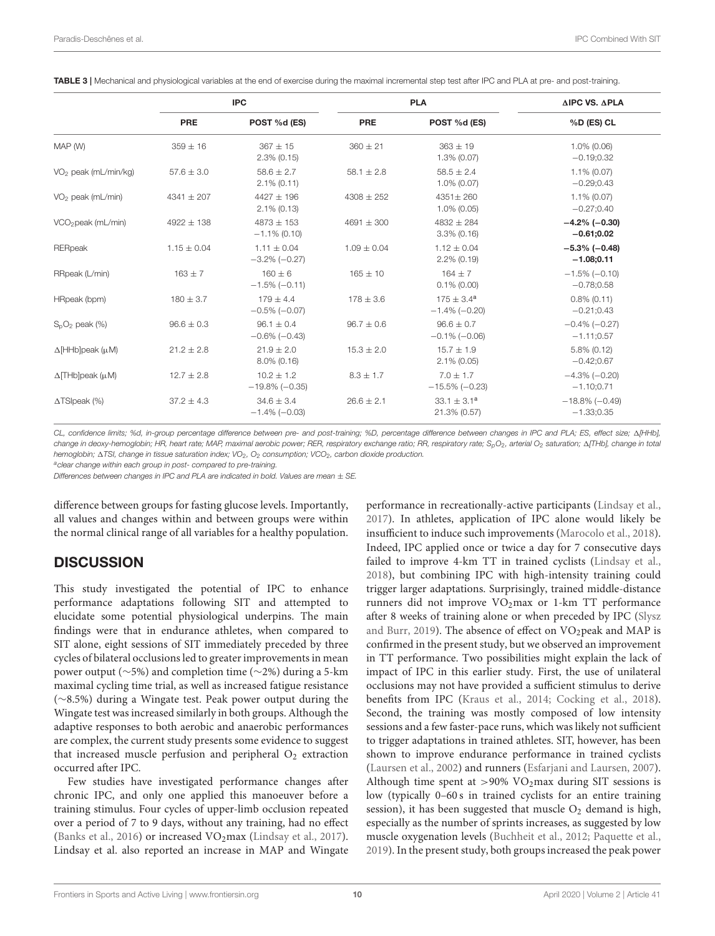<span id="page-9-0"></span>

|  | TABLE 3   Mechanical and physiological variables at the end of exercise during the maximal incremental step test after IPC and PLA at pre- and post-training. |  |
|--|---------------------------------------------------------------------------------------------------------------------------------------------------------------|--|
|--|---------------------------------------------------------------------------------------------------------------------------------------------------------------|--|

|                                  | <b>IPC</b>      |                                         |                 | <b>AIPC VS. APLA</b>                     |                                       |
|----------------------------------|-----------------|-----------------------------------------|-----------------|------------------------------------------|---------------------------------------|
|                                  | <b>PRE</b>      | POST %d (ES)                            | <b>PRE</b>      | POST %d (ES)                             | %D (ES) CL                            |
| MAP (W)                          | $359 \pm 16$    | $367 \pm 15$<br>$2.3\%$ (0.15)          | $360 \pm 21$    | $363 \pm 19$<br>$1.3\%$ (0.07)           | $1.0\%$ (0.06)<br>$-0.19;0.32$        |
| VO <sub>2</sub> peak (mL/min/kg) | $57.6 \pm 3.0$  | $58.6 \pm 2.7$<br>$2.1\%$ (0.11)        | $58.1 \pm 2.8$  | $58.5 \pm 2.4$<br>$1.0\%$ (0.07)         | $1.1\% (0.07)$<br>$-0.29;0.43$        |
| $VO2$ peak (mL/min)              | $4341 \pm 207$  | $4427 \pm 196$<br>$2.1\%$ (0.13)        | $4308 \pm 252$  | 4351±260<br>$1.0\%$ (0.05)               | $1.1\% (0.07)$<br>$-0.27;0.40$        |
| VCO <sub>2</sub> peak (mL/min)   | $4922 \pm 138$  | $4873 \pm 153$<br>$-1.1\%$ (0.10)       | $4691 \pm 300$  | $4832 \pm 284$<br>$3.3\%$ (0.16)         | $-4.2\%$ (-0.30)<br>$-0.61;0.02$      |
| RERpeak                          | $1.15 \pm 0.04$ | $1.11 \pm 0.04$<br>$-3.2\% (-0.27)$     | $1.09 \pm 0.04$ | $1.12 \pm 0.04$<br>$2.2\%$ (0.19)        | $-5.3\%$ (-0.48)<br>$-1.08;0.11$      |
| RRpeak (L/min)                   | $163 \pm 7$     | $160 \pm 6$<br>$-1.5\%(-0.11)$          | $165 \pm 10$    | $164 \pm 7$<br>$0.1\%$ (0.00)            | $-1.5\%(-0.10)$<br>$-0.78;0.58$       |
| HRpeak (bpm)                     | $180 \pm 3.7$   | $179 \pm 4.4$<br>$-0.5\%$ ( $-0.07$ )   | $178 \pm 3.6$   | $175 \pm 3.4^{\circ}$<br>$-1.4\%(-0.20)$ | $0.8\%$ (0.11)<br>$-0.21;0.43$        |
| $S_DO_2$ peak (%)                | $96.6 \pm 0.3$  | $96.1 \pm 0.4$<br>$-0.6\%$ ( $-0.43$ )  | $96.7 \pm 0.6$  | $96.6 \pm 0.7$<br>$-0.1\%$ ( $-0.06$ )   | $-0.4\%$ ( $-0.27$ )<br>$-1.11;0.57$  |
| $\Delta$ [HHb]peak ( $\mu$ M)    | $21.2 \pm 2.8$  | $21.9 \pm 2.0$<br>$8.0\%$ (0.16)        | $15.3 \pm 2.0$  | $15.7 \pm 1.9$<br>$2.1\%$ (0.05)         | $5.8\%$ (0.12)<br>$-0.42;0.67$        |
| $\Delta$ [THb]peak ( $\mu$ M)    | $12.7 \pm 2.8$  | $10.2 \pm 1.2$<br>$-19.8\%$ ( $-0.35$ ) | $8.3 \pm 1.7$   | $7.0 \pm 1.7$<br>$-15.5\%$ ( $-0.23$ )   | $-4.3\%(-0.20)$<br>$-1.10;0.71$       |
| $\Delta$ TSIpeak (%)             | $37.2 \pm 4.3$  | $34.6 \pm 3.4$<br>$-1.4\%$ ( $-0.03$ )  | $26.6 \pm 2.1$  | $33.1 \pm 3.1^a$<br>21.3% (0.57)         | $-18.8\%$ ( $-0.49$ )<br>$-1.33;0.35$ |

CL, confidence limits; %d, in-group percentage difference between pre- and post-training; %D, percentage difference between changes in IPC and PLA; ES, effect size;  $\Delta$ [HHb], change in deoxy-hemoglobin; HR, heart rate; MAP, maximal aerobic power; RER, respiratory exchange ratio; RR, respiratory rate; S<sub>p</sub>O<sub>2</sub>, arterial O<sub>2</sub> saturation;  $\Delta$ [THb], change in total hemoglobin;  $\Delta$ TSI, change in tissue saturation index; VO<sub>2</sub>, O<sub>2</sub> consumption; VCO<sub>2</sub>, carbon dioxide production.

aclear change within each group in post- compared to pre-training.

Differences between changes in IPC and PLA are indicated in bold. Values are mean  $\pm$  SE.

difference between groups for fasting glucose levels. Importantly, all values and changes within and between groups were within the normal clinical range of all variables for a healthy population.

## **DISCUSSION**

This study investigated the potential of IPC to enhance performance adaptations following SIT and attempted to elucidate some potential physiological underpins. The main findings were that in endurance athletes, when compared to SIT alone, eight sessions of SIT immediately preceded by three cycles of bilateral occlusions led to greater improvements in mean power output (∼5%) and completion time (∼2%) during a 5-km maximal cycling time trial, as well as increased fatigue resistance (∼8.5%) during a Wingate test. Peak power output during the Wingate test was increased similarly in both groups. Although the adaptive responses to both aerobic and anaerobic performances are complex, the current study presents some evidence to suggest that increased muscle perfusion and peripheral  $O_2$  extraction occurred after IPC.

Few studies have investigated performance changes after chronic IPC, and only one applied this manoeuver before a training stimulus. Four cycles of upper-limb occlusion repeated over a period of 7 to 9 days, without any training, had no effect [\(Banks et al., 2016\)](#page-13-5) or increased VO<sub>2</sub>max [\(Lindsay et al., 2017\)](#page-14-8). Lindsay et al. also reported an increase in MAP and Wingate performance in recreationally-active participants [\(Lindsay et al.,](#page-14-8) [2017\)](#page-14-8). In athletes, application of IPC alone would likely be insufficient to induce such improvements [\(Marocolo et al., 2018\)](#page-14-23). Indeed, IPC applied once or twice a day for 7 consecutive days failed to improve 4-km TT in trained cyclists [\(Lindsay et al.,](#page-14-9) [2018\)](#page-14-9), but combining IPC with high-intensity training could trigger larger adaptations. Surprisingly, trained middle-distance runners did not improve VO2max or 1-km TT performance after 8 weeks of training alone or when preceded by IPC (Slysz and Burr, [2019\)](#page-14-10). The absence of effect on  $VO_2$ peak and MAP is confirmed in the present study, but we observed an improvement in TT performance. Two possibilities might explain the lack of impact of IPC in this earlier study. First, the use of unilateral occlusions may not have provided a sufficient stimulus to derive benefits from IPC [\(Kraus et al., 2014;](#page-14-11) [Cocking et al., 2018\)](#page-13-6). Second, the training was mostly composed of low intensity sessions and a few faster-pace runs, which was likely not sufficient to trigger adaptations in trained athletes. SIT, however, has been shown to improve endurance performance in trained cyclists [\(Laursen et al., 2002\)](#page-14-24) and runners [\(Esfarjani and Laursen, 2007\)](#page-13-16). Although time spent at  $>90\%$  VO<sub>2</sub>max during SIT sessions is low (typically 0–60 s in trained cyclists for an entire training session), it has been suggested that muscle  $O_2$  demand is high, especially as the number of sprints increases, as suggested by low muscle oxygenation levels [\(Buchheit et al., 2012;](#page-13-17) [Paquette et al.,](#page-14-25) [2019\)](#page-14-25). In the present study, both groups increased the peak power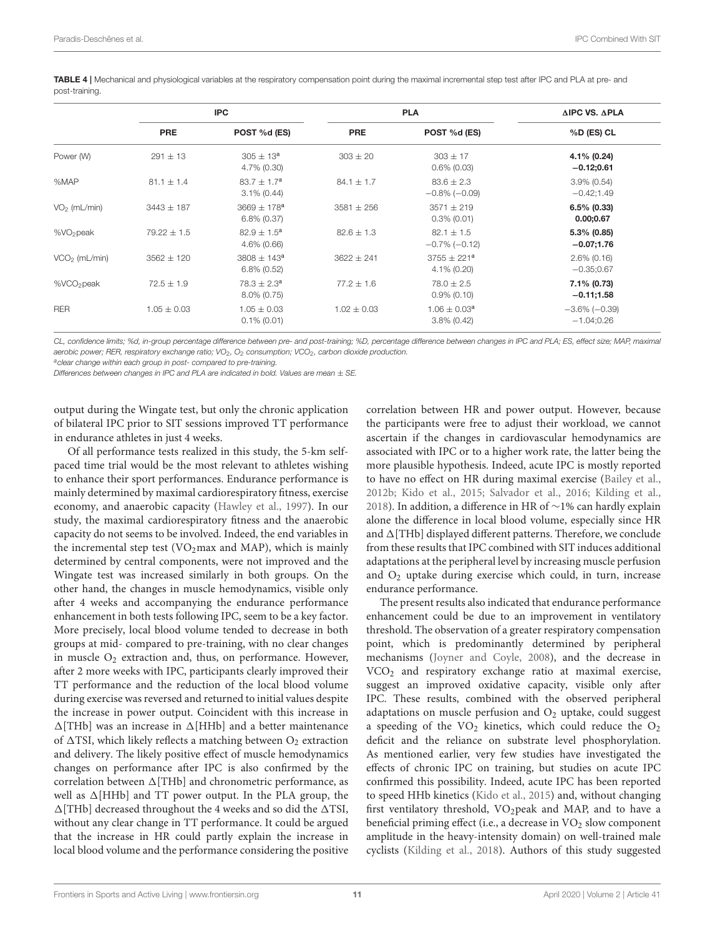<span id="page-10-0"></span>TABLE 4 | Mechanical and physiological variables at the respiratory compensation point during the maximal incremental step test after IPC and PLA at pre- and post-training.

|                        | <b>IPC</b>      |                                               | <b>PLA</b>      |                                        | <b>AIPC VS. APLA</b>                 |  |
|------------------------|-----------------|-----------------------------------------------|-----------------|----------------------------------------|--------------------------------------|--|
|                        | PRE             | POST %d (ES)                                  | <b>PRE</b>      | POST %d (ES)                           | %D (ES) CL                           |  |
| Power (W)              | $291 \pm 13$    | $305 \pm 13^a$<br>4.7% (0.30)                 | $303 \pm 20$    | $303 \pm 17$<br>$0.6\%$ (0.03)         | 4.1% (0.24)<br>$-0.12;0.61$          |  |
| %MAP                   | $81.1 \pm 1.4$  | $83.7 \pm 1.7^a$<br>$3.1\% (0.44)$            | $84.1 \pm 1.7$  | $83.6 \pm 2.3$<br>$-0.8\%$ ( $-0.09$ ) | $3.9\%$ (0.54)<br>$-0.42;1.49$       |  |
| $VO2$ (mL/min)         | $3443 \pm 187$  | $3669 \pm 178$ <sup>a</sup><br>$6.8\% (0.37)$ | $3581 \pm 256$  | $3571 \pm 219$<br>$0.3\%$ (0.01)       | $6.5\%$ (0.33)<br>0.00; 0.67         |  |
| %VO <sub>2</sub> peak  | $79.22 \pm 1.5$ | $82.9 \pm 1.5^a$<br>$4.6\%$ (0.66)            | $82.6 \pm 1.3$  | $82.1 \pm 1.5$<br>$-0.7\%$ ( $-0.12$ ) | $5.3\%$ (0.85)<br>$-0.07;1.76$       |  |
| $VCO2$ (mL/min)        | $3562 \pm 120$  | $3808 \pm 143^a$<br>$6.8\% (0.52)$            | $3622 \pm 241$  | $3755 \pm 221^a$<br>4.1% (0.20)        | $2.6\%$ (0.16)<br>$-0.35;0.67$       |  |
| %VCO <sub>2</sub> peak | $72.5 \pm 1.9$  | $78.3 \pm 2.3^a$<br>$8.0\%$ (0.75)            | $77.2 \pm 1.6$  | $78.0 \pm 2.5$<br>$0.9\%$ (0.10)       | $7.1\%$ (0.73)<br>$-0.11;1.58$       |  |
| <b>RER</b>             | $1.05 \pm 0.03$ | $1.05 \pm 0.03$<br>$0.1\% (0.01)$             | $1.02 \pm 0.03$ | $1.06 \pm 0.03^a$<br>$3.8\%$ (0.42)    | $-3.6\%$ ( $-0.39$ )<br>$-1.04;0.26$ |  |

CL, confidence limits; %d, in-group percentage difference between pre- and post-training; %D, percentage difference between changes in IPC and PLA; ES, effect size; MAP, maximal aerobic power; RER, respiratory exchange ratio; VO<sub>2</sub>, O<sub>2</sub> consumption; VCO<sub>2</sub>, carbon dioxide production.

aclear change within each group in post- compared to pre-training.

Differences between changes in IPC and PLA are indicated in bold. Values are mean  $\pm$  SE.

output during the Wingate test, but only the chronic application of bilateral IPC prior to SIT sessions improved TT performance in endurance athletes in just 4 weeks.

Of all performance tests realized in this study, the 5-km selfpaced time trial would be the most relevant to athletes wishing to enhance their sport performances. Endurance performance is mainly determined by maximal cardiorespiratory fitness, exercise economy, and anaerobic capacity [\(Hawley et al., 1997\)](#page-13-18). In our study, the maximal cardiorespiratory fitness and the anaerobic capacity do not seems to be involved. Indeed, the end variables in the incremental step test ( $VO<sub>2</sub>$ max and MAP), which is mainly determined by central components, were not improved and the Wingate test was increased similarly in both groups. On the other hand, the changes in muscle hemodynamics, visible only after 4 weeks and accompanying the endurance performance enhancement in both tests following IPC, seem to be a key factor. More precisely, local blood volume tended to decrease in both groups at mid- compared to pre-training, with no clear changes in muscle  $O_2$  extraction and, thus, on performance. However, after 2 more weeks with IPC, participants clearly improved their TT performance and the reduction of the local blood volume during exercise was reversed and returned to initial values despite the increase in power output. Coincident with this increase in  $\Delta$ [THb] was an increase in  $\Delta$ [HHb] and a better maintenance of  $\Delta$ TSI, which likely reflects a matching between  $O_2$  extraction and delivery. The likely positive effect of muscle hemodynamics changes on performance after IPC is also confirmed by the correlation between  $\Delta$ [THb] and chronometric performance, as well as  $\Delta$ [HHb] and TT power output. In the PLA group, the  $\Delta$ [THb] decreased throughout the 4 weeks and so did the  $\Delta$ TSI, without any clear change in TT performance. It could be argued that the increase in HR could partly explain the increase in local blood volume and the performance considering the positive correlation between HR and power output. However, because the participants were free to adjust their workload, we cannot ascertain if the changes in cardiovascular hemodynamics are associated with IPC or to a higher work rate, the latter being the more plausible hypothesis. Indeed, acute IPC is mostly reported to have no effect on HR during maximal exercise [\(Bailey et al.,](#page-13-19) [2012b;](#page-13-19) [Kido et al., 2015;](#page-14-26) [Salvador et al., 2016;](#page-14-2) [Kilding et al.,](#page-14-5) [2018\)](#page-14-5). In addition, a difference in HR of ∼1% can hardly explain alone the difference in local blood volume, especially since HR and  $\Delta$ [THb] displayed different patterns. Therefore, we conclude from these results that IPC combined with SIT induces additional adaptations at the peripheral level by increasing muscle perfusion and O<sup>2</sup> uptake during exercise which could, in turn, increase endurance performance.

The present results also indicated that endurance performance enhancement could be due to an improvement in ventilatory threshold. The observation of a greater respiratory compensation point, which is predominantly determined by peripheral mechanisms [\(Joyner and Coyle, 2008\)](#page-14-27), and the decrease in VCO<sup>2</sup> and respiratory exchange ratio at maximal exercise, suggest an improved oxidative capacity, visible only after IPC. These results, combined with the observed peripheral adaptations on muscle perfusion and  $O<sub>2</sub>$  uptake, could suggest a speeding of the  $VO<sub>2</sub>$  kinetics, which could reduce the  $O<sub>2</sub>$ deficit and the reliance on substrate level phosphorylation. As mentioned earlier, very few studies have investigated the effects of chronic IPC on training, but studies on acute IPC confirmed this possibility. Indeed, acute IPC has been reported to speed HHb kinetics [\(Kido et al., 2015\)](#page-14-26) and, without changing first ventilatory threshold, VO<sub>2</sub>peak and MAP, and to have a beneficial priming effect (i.e., a decrease in  $VO<sub>2</sub>$  slow component amplitude in the heavy-intensity domain) on well-trained male cyclists [\(Kilding et al., 2018\)](#page-14-5). Authors of this study suggested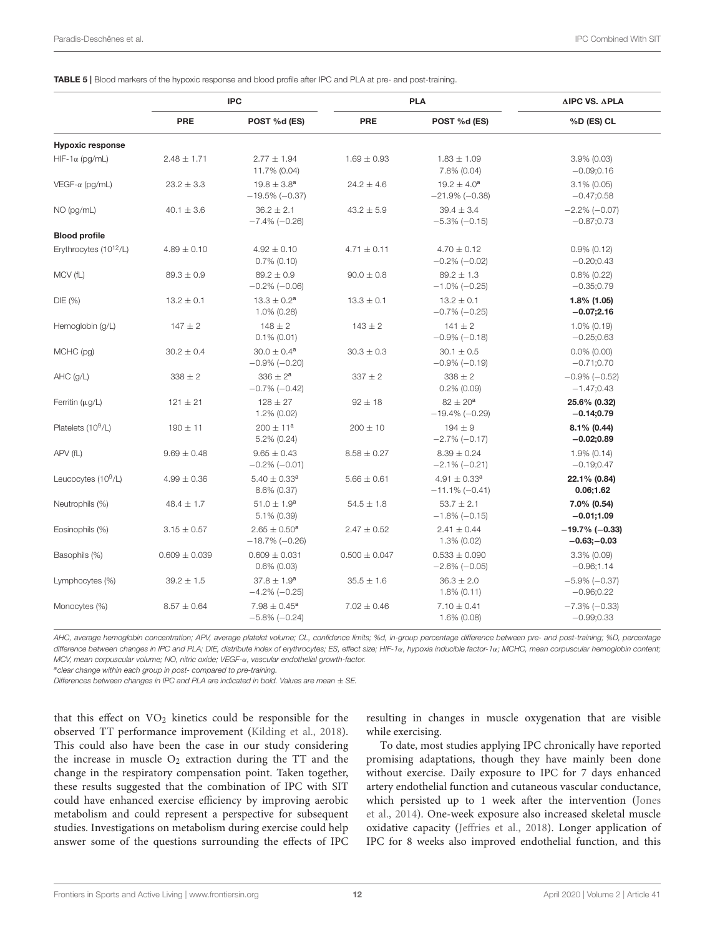#### <span id="page-11-0"></span>TABLE 5 | Blood markers of the hypoxic response and blood profile after IPC and PLA at pre- and post-training.

|                                    | <b>IPC</b>        |                                                | <b>PLA</b>        | <b>AIPC VS. APLA</b>                     |                                      |
|------------------------------------|-------------------|------------------------------------------------|-------------------|------------------------------------------|--------------------------------------|
|                                    | <b>PRE</b>        | POST %d (ES)                                   | <b>PRE</b>        | POST %d (ES)                             | %D (ES) CL                           |
| <b>Hypoxic response</b>            |                   |                                                |                   |                                          |                                      |
| $HIF-1\alpha$ (pg/mL)              | $2.48 \pm 1.71$   | $2.77 \pm 1.94$<br>11.7% (0.04)                | $1.69 \pm 0.93$   | $1.83 \pm 1.09$<br>7.8% (0.04)           | 3.9% (0.03)<br>$-0.09;0.16$          |
| VEGF-α (pg/mL)                     | $23.2 \pm 3.3$    | $19.8 \pm 3.8^{\rm a}$<br>$-19.5\%(-0.37)$     | $24.2 \pm 4.6$    | $19.2 \pm 4.0^a$<br>$-21.9\% (-0.38)$    | $3.1\% (0.05)$<br>$-0.47;0.58$       |
| NO (pg/mL)                         | $40.1 \pm 3.6$    | $36.2 \pm 2.1$<br>$-7.4\%(-0.26)$              | $43.2 \pm 5.9$    | $39.4 \pm 3.4$<br>$-5.3\%(-0.15)$        | $-2.2\%(-0.07)$<br>$-0.87;0.73$      |
| <b>Blood profile</b>               |                   |                                                |                   |                                          |                                      |
| Erythrocytes (10 <sup>12</sup> /L) | $4.89 \pm 0.10$   | $4.92 \pm 0.10$<br>$0.7\%$ (0.10)              | $4.71 \pm 0.11$   | $4.70 \pm 0.12$<br>$-0.2\%$ ( $-0.02$ )  | $0.9\%$ (0.12)<br>$-0.20;0.43$       |
| MCV (fL)                           | $89.3 \pm 0.9$    | $89.2 \pm 0.9$<br>$-0.2\%$ ( $-0.06$ )         | $90.0 \pm 0.8$    | $89.2 \pm 1.3$<br>$-1.0\%(-0.25)$        | $0.8\%$ (0.22)<br>$-0.35;0.79$       |
| DIE (%)                            | $13.2 \pm 0.1$    | $13.3 \pm 0.2^a$<br>1.0% (0.28)                | $13.3 \pm 0.1$    | $13.2 \pm 0.1$<br>$-0.7\%$ (-0.25)       | 1.8% (1.05)<br>$-0.07;2.16$          |
| Hemoglobin (g/L)                   | $147 \pm 2$       | $148 \pm 2$<br>$0.1\%$ (0.01)                  | $143 \pm 2$       | $141 \pm 2$<br>$-0.9\%$ ( $-0.18$ )      | $1.0\%$ (0.19)<br>$-0.25;0.63$       |
| MCHC (pg)                          | $30.2 \pm 0.4$    | $30.0 \pm 0.4^a$<br>$-0.9\%$ ( $-0.20$ )       | $30.3 \pm 0.3$    | $30.1 \pm 0.5$<br>$-0.9\%$ ( $-0.19$ )   | $0.0\%$ (0.00)<br>$-0.71;0.70$       |
| AHC (g/L)                          | $338 \pm 2$       | $336 \pm 2^a$<br>$-0.7\%$ (-0.42)              | $337 \pm 2$       | $338 \pm 2$<br>$0.2\%$ (0.09)            | $-0.9\%$ ( $-0.52$ )<br>$-1.47;0.43$ |
| Ferritin $(\mu g/L)$               | $121 \pm 21$      | $128 \pm 27$<br>1.2% (0.02)                    | $92 \pm 18$       | $82 \pm 20^{\rm a}$<br>$-19.4\%$ (-0.29) | 25.6% (0.32)<br>$-0.14;0.79$         |
| Platelets (10 <sup>9</sup> /L)     | $190 \pm 11$      | $200 \pm 11^a$<br>$5.2\%$ (0.24)               | $200 \pm 10$      | $194 \pm 9$<br>$-2.7\%(-0.17)$           | 8.1% (0.44)<br>$-0.02;0.89$          |
| APV (fL)                           | $9.69 \pm 0.48$   | $9.65 \pm 0.43$<br>$-0.2\%(-0.01)$             | $8.58 \pm 0.27$   | $8.39 \pm 0.24$<br>$-2.1\% (-0.21)$      | $1.9\%$ (0.14)<br>$-0.19;0.47$       |
| Leucocytes (10 <sup>9</sup> /L)    | $4.99 \pm 0.36$   | $5.40 \pm 0.33$ <sup>a</sup><br>$8.6\%$ (0.37) | $5.66 \pm 0.61$   | $4.91 \pm 0.33^a$<br>$-11.1\% (-0.41)$   | 22.1% (0.84)<br>0.06; 1.62           |
| Neutrophils (%)                    | $48.4 \pm 1.7$    | $51.0 \pm 1.9^a$<br>$5.1\%$ (0.39)             | $54.5 \pm 1.8$    | $53.7 \pm 2.1$<br>$-1.8\%(-0.15)$        | 7.0% (0.54)<br>$-0.01;1.09$          |
| Eosinophils (%)                    | $3.15 \pm 0.57$   | $2.65 \pm 0.50^a$<br>$-18.7\%$ ( $-0.26$ )     | $2.47 \pm 0.52$   | $2.41 \pm 0.44$<br>1.3% (0.02)           | $-19.7\%$ (-0.33)<br>$-0.63; -0.03$  |
| Basophils (%)                      | $0.609 \pm 0.039$ | $0.609 \pm 0.031$<br>$0.6\%$ (0.03)            | $0.500 \pm 0.047$ | $0.533 \pm 0.090$<br>$-2.6\% (-0.05)$    | $3.3\%$ (0.09)<br>$-0.96;1.14$       |
| Lymphocytes (%)                    | $39.2 \pm 1.5$    | $37.8 \pm 1.9^a$<br>$-4.2\%(-0.25)$            | $35.5 \pm 1.6$    | $36.3 \pm 2.0$<br>$1.8\%$ (0.11)         | $-5.9\%(-0.37)$<br>$-0.96;0.22$      |
| Monocytes (%)                      | $8.57 \pm 0.64$   | $7.98 \pm 0.45^{\text{a}}$<br>$-5.8\% (-0.24)$ | $7.02 \pm 0.46$   | $7.10 \pm 0.41$<br>1.6% (0.08)           | $-7.3\%(-0.33)$<br>$-0.99;0.33$      |

AHC, average hemoglobin concentration; APV, average platelet volume; CL, confidence limits; %d, in-group percentage difference between pre- and post-training; %D, percentage difference between changes in IPC and PLA; DIE, distribute index of erythrocytes; ES, effect size; HIF-1α, hypoxia inducible factor-1α; MCHC, mean corpuscular hemoglobin content; MCV, mean corpuscular volume; NO, nitric oxide; VEGF-α, vascular endothelial growth-factor.

aclear change within each group in post- compared to pre-training.

Differences between changes in IPC and PLA are indicated in bold. Values are mean  $\pm$  SE.

that this effect on  $VO<sub>2</sub>$  kinetics could be responsible for the observed TT performance improvement [\(Kilding et al., 2018\)](#page-14-5). This could also have been the case in our study considering the increase in muscle  $O_2$  extraction during the TT and the change in the respiratory compensation point. Taken together, these results suggested that the combination of IPC with SIT could have enhanced exercise efficiency by improving aerobic metabolism and could represent a perspective for subsequent studies. Investigations on metabolism during exercise could help answer some of the questions surrounding the effects of IPC resulting in changes in muscle oxygenation that are visible while exercising.

To date, most studies applying IPC chronically have reported promising adaptations, though they have mainly been done without exercise. Daily exposure to IPC for 7 days enhanced artery endothelial function and cutaneous vascular conductance, which persisted up to 1 week after the intervention (Jones et al., [2014\)](#page-14-28). One-week exposure also increased skeletal muscle oxidative capacity [\(Jeffries et al., 2018\)](#page-14-29). Longer application of IPC for 8 weeks also improved endothelial function, and this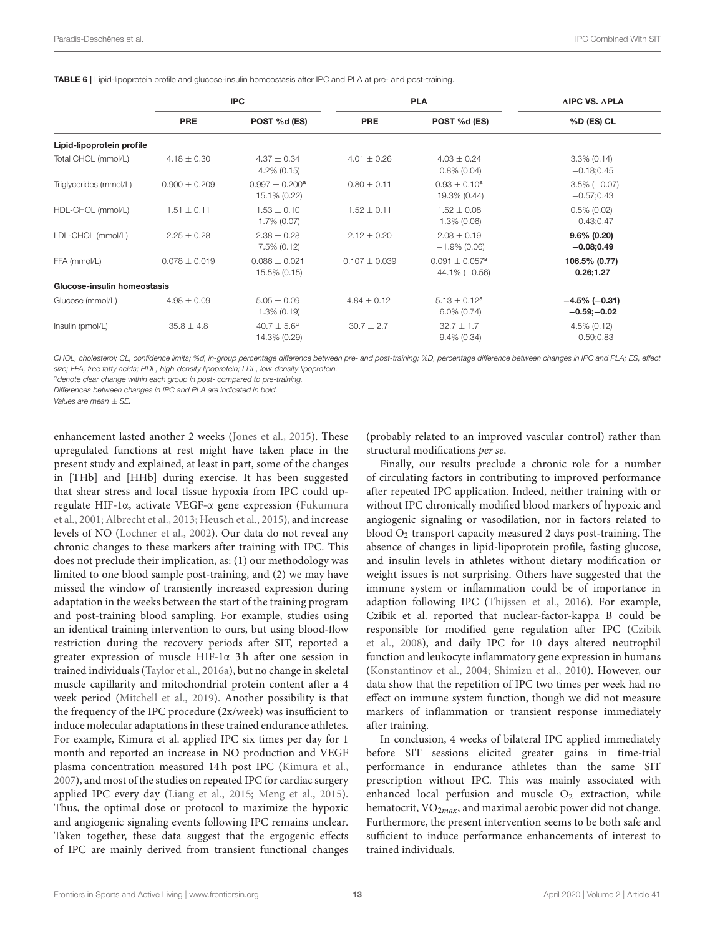|                             | <b>IPC</b>        |                                     |                   | <b>PLA</b>                                              | $\triangle$ IPC VS. $\triangle$ PLA |  |
|-----------------------------|-------------------|-------------------------------------|-------------------|---------------------------------------------------------|-------------------------------------|--|
|                             | <b>PRE</b>        | POST %d (ES)                        | <b>PRE</b>        | POST %d (ES)                                            | $%D$ (ES) CL                        |  |
| Lipid-lipoprotein profile   |                   |                                     |                   |                                                         |                                     |  |
| Total CHOL (mmol/L)         | $4.18 \pm 0.30$   | $4.37 \pm 0.34$<br>$4.2\%$ (0.15)   | $4.01 \pm 0.26$   | $4.03 \pm 0.24$<br>$0.8\%$ (0.04)                       | $3.3\%$ (0.14)<br>$-0.18;0.45$      |  |
| Triglycerides (mmol/L)      | $0.900 \pm 0.209$ | $0.997 \pm 0.200^a$<br>15.1% (0.22) | $0.80 \pm 0.11$   | $0.93 \pm 0.10^a$<br>19.3% (0.44)                       | $-3.5\%(-0.07)$<br>$-0.57;0.43$     |  |
| HDL-CHOL (mmol/L)           | $1.51 \pm 0.11$   | $1.53 \pm 0.10$<br>$1.7\%$ (0.07)   | $1.52 \pm 0.11$   | $1.52 \pm 0.08$<br>$1.3\%$ (0.06)                       | $0.5\%$ (0.02)<br>$-0.43;0.47$      |  |
| LDL-CHOL (mmol/L)           | $2.25 \pm 0.28$   | $2.38 \pm 0.28$<br>7.5% (0.12)      | $2.12 \pm 0.20$   | $2.08 \pm 0.19$<br>$-1.9\%$ (0.06)                      | $9.6\%$ (0.20)<br>$-0.08;0.49$      |  |
| FFA (mmol/L)                | $0.078 \pm 0.019$ | $0.086 \pm 0.021$<br>15.5% (0.15)   | $0.107 \pm 0.039$ | $0.091 \pm 0.057$ <sup>a</sup><br>$-44.1\%$ ( $-0.56$ ) | 106.5% (0.77)<br>0.26; 1.27         |  |
| Glucose-insulin homeostasis |                   |                                     |                   |                                                         |                                     |  |
| Glucose (mmol/L)            | $4.98 \pm 0.09$   | $5.05 \pm 0.09$<br>$1.3\%$ (0.19)   | $4.84 \pm 0.12$   | $5.13 \pm 0.12^a$<br>$6.0\%$ (0.74)                     | $-4.5\%$ (-0.31)<br>$-0.59(-0.02)$  |  |
| Insulin (pmol/L)            | $35.8 \pm 4.8$    | $40.7 \pm 5.6^a$<br>14.3% (0.29)    | $30.7 \pm 2.7$    | $32.7 \pm 1.7$<br>$9.4\% (0.34)$                        | $4.5\%$ (0.12)<br>$-0.59;0.83$      |  |

<span id="page-12-0"></span>TABLE 6 | Lipid-lipoprotein profile and glucose-insulin homeostasis after IPC and PLA at pre- and post-training.

CHOL, cholesterol; CL, confidence limits; %d, in-group percentage difference between pre- and post-training; %D, percentage difference between changes in IPC and PLA; ES, effect size; FFA, free fatty acids; HDL, high-density lipoprotein; LDL, low-density lipoprotein.

adenote clear change within each group in post- compared to pre-training.

Differences between changes in IPC and PLA are indicated in bold.

Values are mean ± SE.

enhancement lasted another 2 weeks [\(Jones et al., 2015\)](#page-14-30). These upregulated functions at rest might have taken place in the present study and explained, at least in part, some of the changes in [THb] and [HHb] during exercise. It has been suggested that shear stress and local tissue hypoxia from IPC could upregulate HIF-1α, activate VEGF-α gene expression (Fukumura et al., [2001;](#page-13-3) [Albrecht et al., 2013;](#page-13-4) [Heusch et al., 2015\)](#page-14-7), and increase levels of NO [\(Lochner et al., 2002\)](#page-14-6). Our data do not reveal any chronic changes to these markers after training with IPC. This does not preclude their implication, as: (1) our methodology was limited to one blood sample post-training, and (2) we may have missed the window of transiently increased expression during adaptation in the weeks between the start of the training program and post-training blood sampling. For example, studies using an identical training intervention to ours, but using blood-flow restriction during the recovery periods after SIT, reported a greater expression of muscle HIF-1α 3 h after one session in trained individuals [\(Taylor et al., 2016a\)](#page-14-1), but no change in skeletal muscle capillarity and mitochondrial protein content after a 4 week period [\(Mitchell et al., 2019\)](#page-14-12). Another possibility is that the frequency of the IPC procedure (2x/week) was insufficient to induce molecular adaptations in these trained endurance athletes. For example, Kimura et al. applied IPC six times per day for 1 month and reported an increase in NO production and VEGF plasma concentration measured 14 h post IPC [\(Kimura et al.,](#page-14-31) [2007\)](#page-14-31), and most of the studies on repeated IPC for cardiac surgery applied IPC every day [\(Liang et al., 2015;](#page-14-32) [Meng et al., 2015\)](#page-14-33). Thus, the optimal dose or protocol to maximize the hypoxic and angiogenic signaling events following IPC remains unclear. Taken together, these data suggest that the ergogenic effects of IPC are mainly derived from transient functional changes (probably related to an improved vascular control) rather than structural modifications per se.

Finally, our results preclude a chronic role for a number of circulating factors in contributing to improved performance after repeated IPC application. Indeed, neither training with or without IPC chronically modified blood markers of hypoxic and angiogenic signaling or vasodilation, nor in factors related to blood  $O_2$  transport capacity measured 2 days post-training. The absence of changes in lipid-lipoprotein profile, fasting glucose, and insulin levels in athletes without dietary modification or weight issues is not surprising. Others have suggested that the immune system or inflammation could be of importance in adaption following IPC [\(Thijssen et al., 2016\)](#page-14-34). For example, Czibik et al. reported that nuclear-factor-kappa B could be responsible for modified gene regulation after IPC (Czibik et al., [2008\)](#page-13-20), and daily IPC for 10 days altered neutrophil function and leukocyte inflammatory gene expression in humans [\(Konstantinov et al., 2004;](#page-14-35) [Shimizu et al., 2010\)](#page-14-36). However, our data show that the repetition of IPC two times per week had no effect on immune system function, though we did not measure markers of inflammation or transient response immediately after training.

In conclusion, 4 weeks of bilateral IPC applied immediately before SIT sessions elicited greater gains in time-trial performance in endurance athletes than the same SIT prescription without IPC. This was mainly associated with enhanced local perfusion and muscle  $O_2$  extraction, while hematocrit,  $VO<sub>2max</sub>$ , and maximal aerobic power did not change. Furthermore, the present intervention seems to be both safe and sufficient to induce performance enhancements of interest to trained individuals.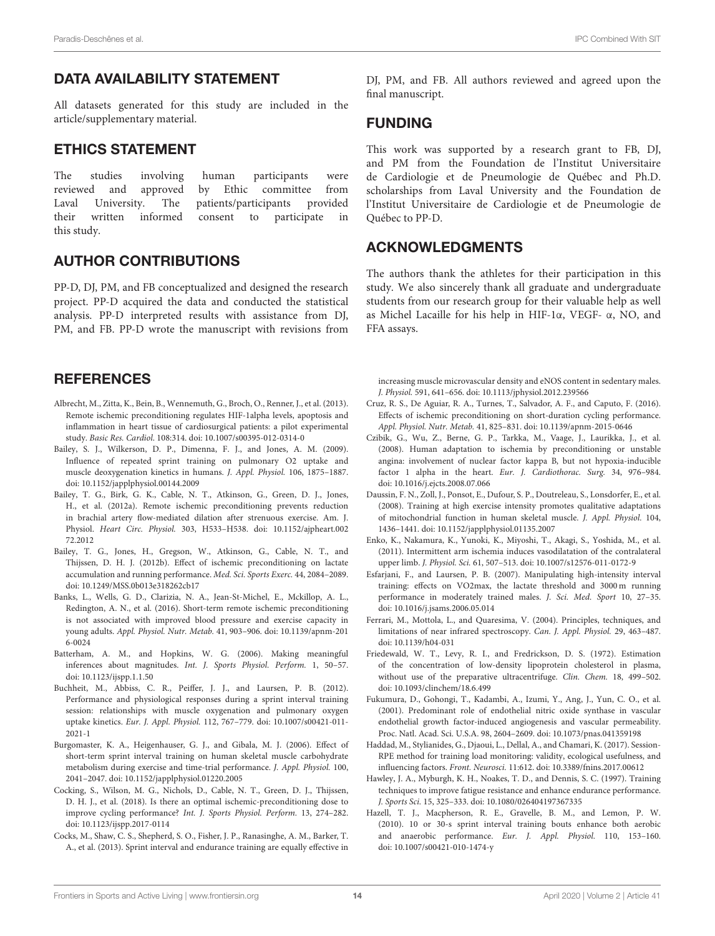## DATA AVAILABILITY STATEMENT

All datasets generated for this study are included in the article/supplementary material.

## ETHICS STATEMENT

The studies involving human participants were reviewed and approved by Ethic committee from Laval University. The patients/participants provided their written informed consent to participate in this study.

## AUTHOR CONTRIBUTIONS

PP-D, DJ, PM, and FB conceptualized and designed the research project. PP-D acquired the data and conducted the statistical analysis. PP-D interpreted results with assistance from DJ, PM, and FB. PP-D wrote the manuscript with revisions from

## **REFERENCES**

- <span id="page-13-4"></span>Albrecht, M., Zitta, K., Bein, B., Wennemuth, G., Broch, O., Renner, J., et al. (2013). Remote ischemic preconditioning regulates HIF-1alpha levels, apoptosis and inflammation in heart tissue of cardiosurgical patients: a pilot experimental study. Basic Res. Cardiol. 108:314. doi: [10.1007/s00395-012-0314-0](https://doi.org/10.1007/s00395-012-0314-0)
- <span id="page-13-9"></span>Bailey, S. J., Wilkerson, D. P., Dimenna, F. J., and Jones, A. M. (2009). Influence of repeated sprint training on pulmonary O2 uptake and muscle deoxygenation kinetics in humans. J. Appl. Physiol. 106, 1875–1887. doi: [10.1152/japplphysiol.00144.2009](https://doi.org/10.1152/japplphysiol.00144.2009)
- <span id="page-13-2"></span>Bailey, T. G., Birk, G. K., Cable, N. T., Atkinson, G., Green, D. J., Jones, H., et al. (2012a). Remote ischemic preconditioning prevents reduction in brachial artery flow-mediated dilation after strenuous exercise. Am. J. Physiol. Heart Circ. Physiol. [303, H533–H538. doi: 10.1152/ajpheart.002](https://doi.org/10.1152/ajpheart.00272.2012) 72.2012
- <span id="page-13-19"></span>Bailey, T. G., Jones, H., Gregson, W., Atkinson, G., Cable, N. T., and Thijssen, D. H. J. (2012b). Effect of ischemic preconditioning on lactate accumulation and running performance. Med. Sci. Sports Exerc. 44, 2084–2089. doi: [10.1249/MSS.0b013e318262cb17](https://doi.org/10.1249/MSS.0b013e318262cb17)
- <span id="page-13-5"></span>Banks, L., Wells, G. D., Clarizia, N. A., Jean-St-Michel, E., Mckillop, A. L., Redington, A. N., et al. (2016). Short-term remote ischemic preconditioning is not associated with improved blood pressure and exercise capacity in young adults. Appl. Physiol. Nutr. Metab. [41, 903–906. doi: 10.1139/apnm-201](https://doi.org/10.1139/apnm-2016-0024) 6-0024
- <span id="page-13-15"></span>Batterham, A. M., and Hopkins, W. G. (2006). Making meaningful inferences about magnitudes. Int. J. Sports Physiol. Perform. 1, 50–57. doi: [10.1123/ijspp.1.1.50](https://doi.org/10.1123/ijspp.1.1.50)
- <span id="page-13-17"></span>Buchheit, M., Abbiss, C. R., Peiffer, J. J., and Laursen, P. B. (2012). Performance and physiological responses during a sprint interval training session: relationships with muscle oxygenation and pulmonary oxygen uptake kinetics. Eur. J. Appl. Physiol. [112, 767–779. doi: 10.1007/s00421-011-](https://doi.org/10.1007/s00421-011-2021-1) 2021-1
- <span id="page-13-7"></span>Burgomaster, K. A., Heigenhauser, G. J., and Gibala, M. J. (2006). Effect of short-term sprint interval training on human skeletal muscle carbohydrate metabolism during exercise and time-trial performance. J. Appl. Physiol. 100, 2041–2047. doi: [10.1152/japplphysiol.01220.2005](https://doi.org/10.1152/japplphysiol.01220.2005)
- <span id="page-13-6"></span>Cocking, S., Wilson, M. G., Nichols, D., Cable, N. T., Green, D. J., Thijssen, D. H. J., et al. (2018). Is there an optimal ischemic-preconditioning dose to improve cycling performance? Int. J. Sports Physiol. Perform. 13, 274–282. doi: [10.1123/ijspp.2017-0114](https://doi.org/10.1123/ijspp.2017-0114)
- <span id="page-13-11"></span>Cocks, M., Shaw, C. S., Shepherd, S. O., Fisher, J. P., Ranasinghe, A. M., Barker, T. A., et al. (2013). Sprint interval and endurance training are equally effective in

DJ, PM, and FB. All authors reviewed and agreed upon the final manuscript.

## FUNDING

This work was supported by a research grant to FB, DJ, and PM from the Foundation de l'Institut Universitaire de Cardiologie et de Pneumologie de Québec and Ph.D. scholarships from Laval University and the Foundation de l'Institut Universitaire de Cardiologie et de Pneumologie de Québec to PP-D.

## ACKNOWLEDGMENTS

The authors thank the athletes for their participation in this study. We also sincerely thank all graduate and undergraduate students from our research group for their valuable help as well as Michel Lacaille for his help in HIF-1α, VEGF- α, NO, and FFA assays.

increasing muscle microvascular density and eNOS content in sedentary males. J. Physiol. 591, 641–656. doi: [10.1113/jphysiol.2012.239566](https://doi.org/10.1113/jphysiol.2012.239566)

- <span id="page-13-0"></span>Cruz, R. S., De Aguiar, R. A., Turnes, T., Salvador, A. F., and Caputo, F. (2016). Effects of ischemic preconditioning on short-duration cycling performance. Appl. Physiol. Nutr. Metab. 41, 825–831. doi: [10.1139/apnm-2015-0646](https://doi.org/10.1139/apnm-2015-0646)
- <span id="page-13-20"></span>Czibik, G., Wu, Z., Berne, G. P., Tarkka, M., Vaage, J., Laurikka, J., et al. (2008). Human adaptation to ischemia by preconditioning or unstable angina: involvement of nuclear factor kappa B, but not hypoxia-inducible factor 1 alpha in the heart. Eur. J. Cardiothorac. Surg. 34, 976–984. doi: [10.1016/j.ejcts.2008.07.066](https://doi.org/10.1016/j.ejcts.2008.07.066)
- <span id="page-13-10"></span>Daussin, F. N., Zoll, J., Ponsot, E., Dufour, S. P., Doutreleau, S., Lonsdorfer, E., et al. (2008). Training at high exercise intensity promotes qualitative adaptations of mitochondrial function in human skeletal muscle. J. Appl. Physiol. 104, 1436–1441. doi: [10.1152/japplphysiol.01135.2007](https://doi.org/10.1152/japplphysiol.01135.2007)
- <span id="page-13-1"></span>Enko, K., Nakamura, K., Yunoki, K., Miyoshi, T., Akagi, S., Yoshida, M., et al. (2011). Intermittent arm ischemia induces vasodilatation of the contralateral upper limb. J. Physiol. Sci. 61, 507–513. doi: [10.1007/s12576-011-0172-9](https://doi.org/10.1007/s12576-011-0172-9)
- <span id="page-13-16"></span>Esfarjani, F., and Laursen, P. B. (2007). Manipulating high-intensity interval training: effects on VO2max, the lactate threshold and 3000 m running performance in moderately trained males. J. Sci. Med. Sport 10, 27–35. doi: [10.1016/j.jsams.2006.05.014](https://doi.org/10.1016/j.jsams.2006.05.014)
- <span id="page-13-13"></span>Ferrari, M., Mottola, L., and Quaresima, V. (2004). Principles, techniques, and limitations of near infrared spectroscopy. Can. J. Appl. Physiol. 29, 463–487. doi: [10.1139/h04-031](https://doi.org/10.1139/h04-031)
- <span id="page-13-14"></span>Friedewald, W. T., Levy, R. I., and Fredrickson, D. S. (1972). Estimation of the concentration of low-density lipoprotein cholesterol in plasma, without use of the preparative ultracentrifuge. Clin. Chem. 18, 499–502. doi: [10.1093/clinchem/18.6.499](https://doi.org/10.1093/clinchem/18.6.499)
- <span id="page-13-3"></span>Fukumura, D., Gohongi, T., Kadambi, A., Izumi, Y., Ang, J., Yun, C. O., et al. (2001). Predominant role of endothelial nitric oxide synthase in vascular endothelial growth factor-induced angiogenesis and vascular permeability. Proc. Natl. Acad. Sci. U.S.A. 98, 2604–2609. doi: [10.1073/pnas.041359198](https://doi.org/10.1073/pnas.041359198)
- <span id="page-13-12"></span>Haddad, M., Stylianides, G., Djaoui, L., Dellal, A., and Chamari, K. (2017). Session-RPE method for training load monitoring: validity, ecological usefulness, and influencing factors. Front. Neurosci. 11:612. doi: [10.3389/fnins.2017.00612](https://doi.org/10.3389/fnins.2017.00612)
- <span id="page-13-18"></span>Hawley, J. A., Myburgh, K. H., Noakes, T. D., and Dennis, S. C. (1997). Training techniques to improve fatigue resistance and enhance endurance performance. J. Sports Sci. 15, 325–333. doi: [10.1080/026404197367335](https://doi.org/10.1080/026404197367335)
- <span id="page-13-8"></span>Hazell, T. J., Macpherson, R. E., Gravelle, B. M., and Lemon, P. W. (2010). 10 or 30-s sprint interval training bouts enhance both aerobic and anaerobic performance. Eur. J. Appl. Physiol. 110, 153–160. doi: [10.1007/s00421-010-1474-y](https://doi.org/10.1007/s00421-010-1474-y)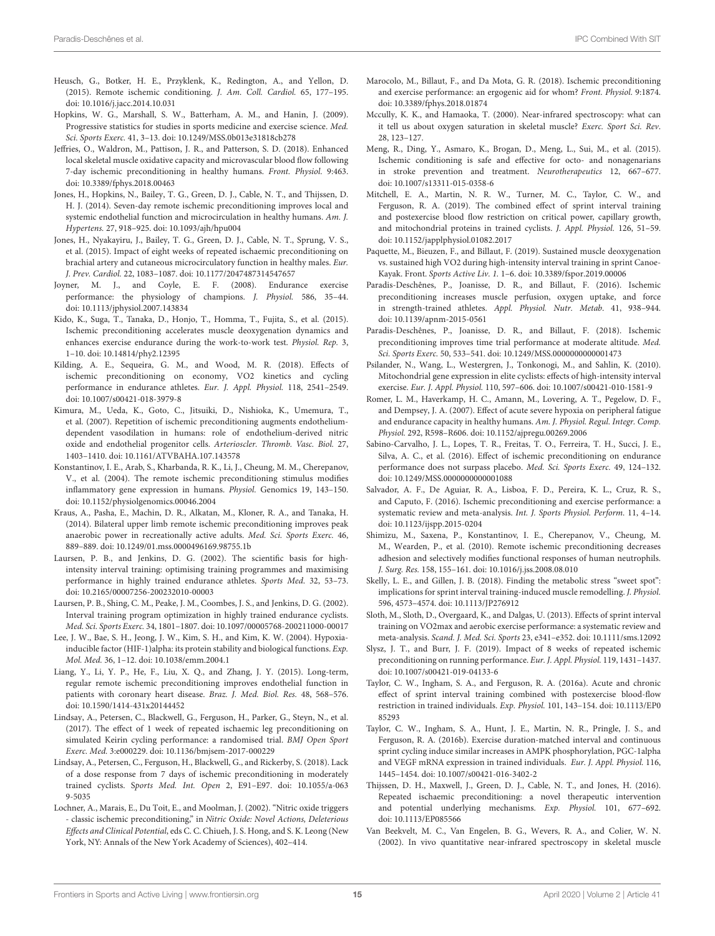- <span id="page-14-7"></span>Heusch, G., Botker, H. E., Przyklenk, K., Redington, A., and Yellon, D. (2015). Remote ischemic conditioning. J. Am. Coll. Cardiol. 65, 177–195. doi: [10.1016/j.jacc.2014.10.031](https://doi.org/10.1016/j.jacc.2014.10.031)
- <span id="page-14-22"></span>Hopkins, W. G., Marshall, S. W., Batterham, A. M., and Hanin, J. (2009). Progressive statistics for studies in sports medicine and exercise science. Med. Sci. Sports Exerc. 41, 3–13. doi: [10.1249/MSS.0b013e31818cb278](https://doi.org/10.1249/MSS.0b013e31818cb278)
- <span id="page-14-29"></span>Jeffries, O., Waldron, M., Pattison, J. R., and Patterson, S. D. (2018). Enhanced local skeletal muscle oxidative capacity and microvascular blood flow following 7-day ischemic preconditioning in healthy humans. Front. Physiol. 9:463. doi: [10.3389/fphys.2018.00463](https://doi.org/10.3389/fphys.2018.00463)
- <span id="page-14-28"></span>Jones, H., Hopkins, N., Bailey, T. G., Green, D. J., Cable, N. T., and Thijssen, D. H. J. (2014). Seven-day remote ischemic preconditioning improves local and systemic endothelial function and microcirculation in healthy humans. Am. J. Hypertens. 27, 918–925. doi: [10.1093/ajh/hpu004](https://doi.org/10.1093/ajh/hpu004)
- <span id="page-14-30"></span>Jones, H., Nyakayiru, J., Bailey, T. G., Green, D. J., Cable, N. T., Sprung, V. S., et al. (2015). Impact of eight weeks of repeated ischaemic preconditioning on brachial artery and cutaneous microcirculatory function in healthy males. Eur. J. Prev. Cardiol. 22, 1083–1087. doi: [10.1177/2047487314547657](https://doi.org/10.1177/2047487314547657)
- <span id="page-14-27"></span>Joyner, M. J., and Coyle, E. F. (2008). Endurance exercise performance: the physiology of champions. J. Physiol. 586, 35–44. doi: [10.1113/jphysiol.2007.143834](https://doi.org/10.1113/jphysiol.2007.143834)
- <span id="page-14-26"></span>Kido, K., Suga, T., Tanaka, D., Honjo, T., Homma, T., Fujita, S., et al. (2015). Ischemic preconditioning accelerates muscle deoxygenation dynamics and enhances exercise endurance during the work-to-work test. Physiol. Rep. 3, 1–10. doi: [10.14814/phy2.12395](https://doi.org/10.14814/phy2.12395)
- <span id="page-14-5"></span>Kilding, A. E., Sequeira, G. M., and Wood, M. R. (2018). Effects of ischemic preconditioning on economy, VO2 kinetics and cycling performance in endurance athletes. Eur. J. Appl. Physiol. 118, 2541–2549. doi: [10.1007/s00421-018-3979-8](https://doi.org/10.1007/s00421-018-3979-8)
- <span id="page-14-31"></span>Kimura, M., Ueda, K., Goto, C., Jitsuiki, D., Nishioka, K., Umemura, T., et al. (2007). Repetition of ischemic preconditioning augments endotheliumdependent vasodilation in humans: role of endothelium-derived nitric oxide and endothelial progenitor cells. Arterioscler. Thromb. Vasc. Biol. 27, 1403–1410. doi: [10.1161/ATVBAHA.107.143578](https://doi.org/10.1161/ATVBAHA.107.143578)
- <span id="page-14-35"></span>Konstantinov, I. E., Arab, S., Kharbanda, R. K., Li, J., Cheung, M. M., Cherepanov, V., et al. (2004). The remote ischemic preconditioning stimulus modifies inflammatory gene expression in humans. Physiol. Genomics 19, 143–150. doi: [10.1152/physiolgenomics.00046.2004](https://doi.org/10.1152/physiolgenomics.00046.2004)
- <span id="page-14-11"></span>Kraus, A., Pasha, E., Machin, D. R., Alkatan, M., Kloner, R. A., and Tanaka, H. (2014). Bilateral upper limb remote ischemic preconditioning improves peak anaerobic power in recreationally active adults. Med. Sci. Sports Exerc. 46, 889–889. doi: [10.1249/01.mss.0000496169.98755.1b](https://doi.org/10.1249/01.mss.0000496169.98755.1b)
- <span id="page-14-0"></span>Laursen, P. B., and Jenkins, D. G. (2002). The scientific basis for highintensity interval training: optimising training programmes and maximising performance in highly trained endurance athletes. Sports Med. 32, 53–73. doi: [10.2165/00007256-200232010-00003](https://doi.org/10.2165/00007256-200232010-00003)
- <span id="page-14-24"></span>Laursen, P. B., Shing, C. M., Peake, J. M., Coombes, J. S., and Jenkins, D. G. (2002). Interval training program optimization in highly trained endurance cyclists. Med. Sci. Sports Exerc. 34, 1801–1807. doi: [10.1097/00005768-200211000-00017](https://doi.org/10.1097/00005768-200211000-00017)
- <span id="page-14-16"></span>Lee, J. W., Bae, S. H., Jeong, J. W., Kim, S. H., and Kim, K. W. (2004). Hypoxiainducible factor (HIF-1)alpha: its protein stability and biological functions. Exp. Mol. Med. 36, 1–12. doi: [10.1038/emm.2004.1](https://doi.org/10.1038/emm.2004.1)
- <span id="page-14-32"></span>Liang, Y., Li, Y. P., He, F., Liu, X. Q., and Zhang, J. Y. (2015). Long-term, regular remote ischemic preconditioning improves endothelial function in patients with coronary heart disease. Braz. J. Med. Biol. Res. 48, 568–576. doi: [10.1590/1414-431x20144452](https://doi.org/10.1590/1414-431x20144452)
- <span id="page-14-8"></span>Lindsay, A., Petersen, C., Blackwell, G., Ferguson, H., Parker, G., Steyn, N., et al. (2017). The effect of 1 week of repeated ischaemic leg preconditioning on simulated Keirin cycling performance: a randomised trial. BMJ Open Sport Exerc. Med. 3:e000229. doi: [10.1136/bmjsem-2017-000229](https://doi.org/10.1136/bmjsem-2017-000229)
- <span id="page-14-9"></span>Lindsay, A., Petersen, C., Ferguson, H., Blackwell, G., and Rickerby, S. (2018). Lack of a dose response from 7 days of ischemic preconditioning in moderately trained cyclists. Sports Med. Int. Open [2, E91–E97. doi: 10.1055/a-063](https://doi.org/10.1055/a-0639-5035) 9-5035
- <span id="page-14-6"></span>Lochner, A., Marais, E., Du Toit, E., and Moolman, J. (2002). "Nitric oxide triggers - classic ischemic preconditioning," in Nitric Oxide: Novel Actions, Deleterious Effects and Clinical Potential, eds C. C. Chiueh, J. S. Hong, and S. K. Leong (New York, NY: Annals of the New York Academy of Sciences), 402–414.
- <span id="page-14-23"></span>Marocolo, M., Billaut, F., and Da Mota, G. R. (2018). Ischemic preconditioning and exercise performance: an ergogenic aid for whom? Front. Physiol. 9:1874. doi: [10.3389/fphys.2018.01874](https://doi.org/10.3389/fphys.2018.01874)
- <span id="page-14-20"></span>Mccully, K. K., and Hamaoka, T. (2000). Near-infrared spectroscopy: what can it tell us about oxygen saturation in skeletal muscle? Exerc. Sport Sci. Rev. 28, 123–127.
- <span id="page-14-33"></span>Meng, R., Ding, Y., Asmaro, K., Brogan, D., Meng, L., Sui, M., et al. (2015). Ischemic conditioning is safe and effective for octo- and nonagenarians in stroke prevention and treatment. Neurotherapeutics 12, 667–677. doi: [10.1007/s13311-015-0358-6](https://doi.org/10.1007/s13311-015-0358-6)
- <span id="page-14-12"></span>Mitchell, E. A., Martin, N. R. W., Turner, M. C., Taylor, C. W., and Ferguson, R. A. (2019). The combined effect of sprint interval training and postexercise blood flow restriction on critical power, capillary growth, and mitochondrial proteins in trained cyclists. J. Appl. Physiol. 126, 51–59. doi: [10.1152/japplphysiol.01082.2017](https://doi.org/10.1152/japplphysiol.01082.2017)
- <span id="page-14-25"></span>Paquette, M., Bieuzen, F., and Billaut, F. (2019). Sustained muscle deoxygenation vs. sustained high VO2 during high-intensity interval training in sprint Canoe-Kayak. Front. Sports Active Liv. 1. 1–6. doi: [10.3389/fspor.2019.00006](https://doi.org/10.3389/fspor.2019.00006)
- <span id="page-14-4"></span>Paradis-Deschênes, P., Joanisse, D. R., and Billaut, F. (2016). Ischemic preconditioning increases muscle perfusion, oxygen uptake, and force in strength-trained athletes. Appl. Physiol. Nutr. Metab. 41, 938–944. doi: [10.1139/apnm-2015-0561](https://doi.org/10.1139/apnm-2015-0561)
- <span id="page-14-3"></span>Paradis-Deschênes, P., Joanisse, D. R., and Billaut, F. (2018). Ischemic preconditioning improves time trial performance at moderate altitude. Med. Sci. Sports Exerc. 50, 533–541. doi: [10.1249/MSS.0000000000001473](https://doi.org/10.1249/MSS.0000000000001473)
- <span id="page-14-15"></span>Psilander, N., Wang, L., Westergren, J., Tonkonogi, M., and Sahlin, K. (2010). Mitochondrial gene expression in elite cyclists: effects of high-intensity interval exercise. Eur. J. Appl. Physiol. 110, 597–606. doi: [10.1007/s00421-010-1581-9](https://doi.org/10.1007/s00421-010-1581-9)
- <span id="page-14-19"></span>Romer, L. M., Haverkamp, H. C., Amann, M., Lovering, A. T., Pegelow, D. F., and Dempsey, J. A. (2007). Effect of acute severe hypoxia on peripheral fatigue and endurance capacity in healthy humans. Am. J. Physiol. Regul. Integr. Comp. Physiol. 292, R598–R606. doi: [10.1152/ajpregu.00269.2006](https://doi.org/10.1152/ajpregu.00269.2006)
- <span id="page-14-18"></span>Sabino-Carvalho, J. L., Lopes, T. R., Freitas, T. O., Ferreira, T. H., Succi, J. E., Silva, A. C., et al. (2016). Effect of ischemic preconditioning on endurance performance does not surpass placebo. Med. Sci. Sports Exerc. 49, 124–132. doi: [10.1249/MSS.0000000000001088](https://doi.org/10.1249/MSS.0000000000001088)
- <span id="page-14-2"></span>Salvador, A. F., De Aguiar, R. A., Lisboa, F. D., Pereira, K. L., Cruz, R. S., and Caputo, F. (2016). Ischemic preconditioning and exercise performance: a systematic review and meta-analysis. Int. J. Sports Physiol. Perform. 11, 4–14. doi: [10.1123/ijspp.2015-0204](https://doi.org/10.1123/ijspp.2015-0204)
- <span id="page-14-36"></span>Shimizu, M., Saxena, P., Konstantinov, I. E., Cherepanov, V., Cheung, M. M., Wearden, P., et al. (2010). Remote ischemic preconditioning decreases adhesion and selectively modifies functional responses of human neutrophils. J. Surg. Res. 158, 155–161. doi: [10.1016/j.jss.2008.08.010](https://doi.org/10.1016/j.jss.2008.08.010)
- <span id="page-14-14"></span>Skelly, L. E., and Gillen, J. B. (2018). Finding the metabolic stress "sweet spot": implications for sprint interval training-induced muscle remodelling. J. Physiol. 596, 4573–4574. doi: [10.1113/JP276912](https://doi.org/10.1113/JP276912)
- <span id="page-14-13"></span>Sloth, M., Sloth, D., Overgaard, K., and Dalgas, U. (2013). Effects of sprint interval training on VO2max and aerobic exercise performance: a systematic review and meta-analysis. Scand. J. Med. Sci. Sports 23, e341–e352. doi: [10.1111/sms.12092](https://doi.org/10.1111/sms.12092)
- <span id="page-14-10"></span>Slysz, J. T., and Burr, J. F. (2019). Impact of 8 weeks of repeated ischemic preconditioning on running performance. Eur. J. Appl. Physiol. 119, 1431–1437. doi: [10.1007/s00421-019-04133-6](https://doi.org/10.1007/s00421-019-04133-6)
- <span id="page-14-1"></span>Taylor, C. W., Ingham, S. A., and Ferguson, R. A. (2016a). Acute and chronic effect of sprint interval training combined with postexercise blood-flow [restriction in trained individuals.](https://doi.org/10.1113/EP085293) Exp. Physiol. 101, 143–154. doi: 10.1113/EP0 85293
- <span id="page-14-17"></span>Taylor, C. W., Ingham, S. A., Hunt, J. E., Martin, N. R., Pringle, J. S., and Ferguson, R. A. (2016b). Exercise duration-matched interval and continuous sprint cycling induce similar increases in AMPK phosphorylation, PGC-1alpha and VEGF mRNA expression in trained individuals. Eur. J. Appl. Physiol. 116, 1445–1454. doi: [10.1007/s00421-016-3402-2](https://doi.org/10.1007/s00421-016-3402-2)
- <span id="page-14-34"></span>Thijssen, D. H., Maxwell, J., Green, D. J., Cable, N. T., and Jones, H. (2016). Repeated ischaemic preconditioning: a novel therapeutic intervention and potential underlying mechanisms. Exp. Physiol. 101, 677–692. doi: [10.1113/EP085566](https://doi.org/10.1113/EP085566)
- <span id="page-14-21"></span>Van Beekvelt, M. C., Van Engelen, B. G., Wevers, R. A., and Colier, W. N. (2002). In vivo quantitative near-infrared spectroscopy in skeletal muscle